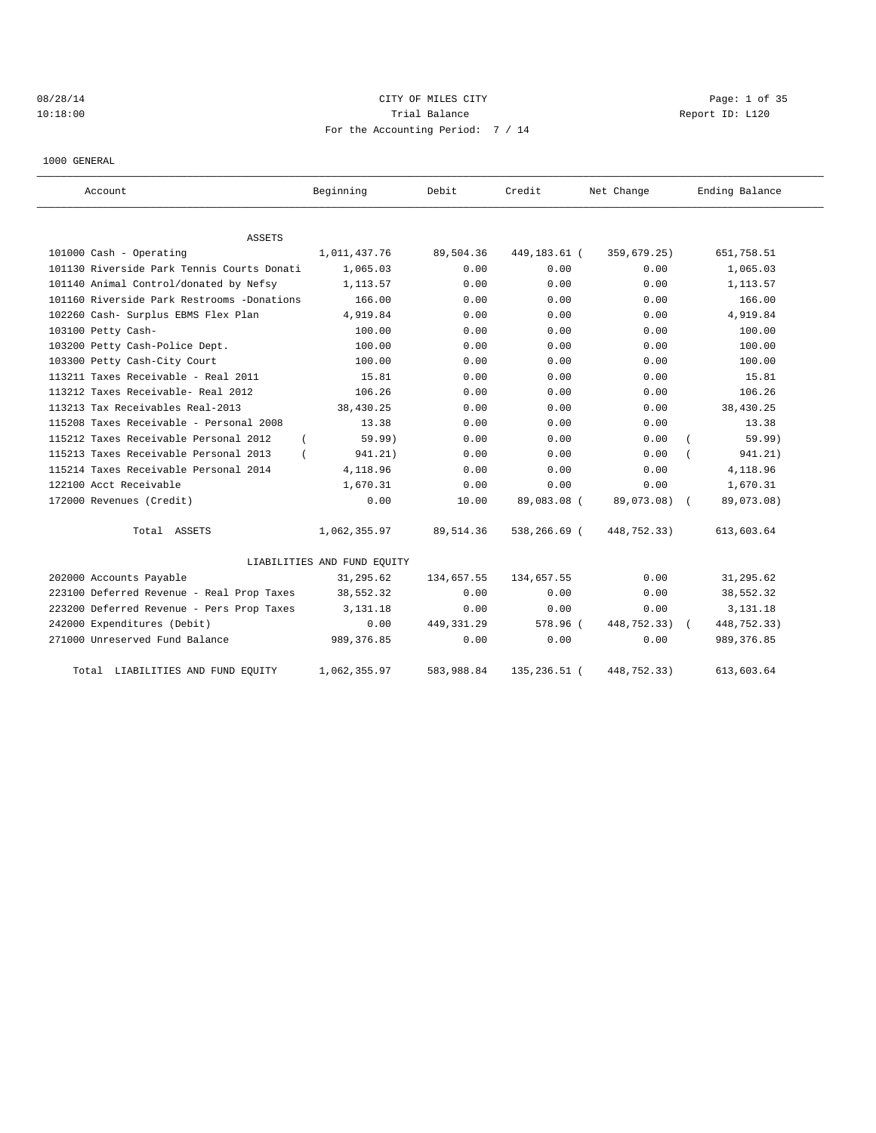# 08/28/14 Page: 1 of 35 10:18:00 Report ID: L120 For the Accounting Period: 7 / 14

1000 GENERAL

| Account                                    | Beginning                   | Debit        | Credit        | Net Change    | Ending Balance |
|--------------------------------------------|-----------------------------|--------------|---------------|---------------|----------------|
| <b>ASSETS</b>                              |                             |              |               |               |                |
| 101000 Cash - Operating                    | 1,011,437.76                | 89,504.36    | 449,183.61 (  | 359,679.25)   | 651,758.51     |
| 101130 Riverside Park Tennis Courts Donati | 1,065.03                    | 0.00         | 0.00          | 0.00          | 1,065.03       |
| 101140 Animal Control/donated by Nefsy     | 1,113.57                    | 0.00         | 0.00          | 0.00          | 1,113.57       |
| 101160 Riverside Park Restrooms -Donations | 166.00                      | 0.00         | 0.00          | 0.00          | 166.00         |
| 102260 Cash- Surplus EBMS Flex Plan        | 4,919.84                    | 0.00         | 0.00          | 0.00          | 4,919.84       |
| 103100 Petty Cash-                         | 100.00                      | 0.00         | 0.00          | 0.00          | 100.00         |
| 103200 Petty Cash-Police Dept.             | 100.00                      | 0.00         | 0.00          | 0.00          | 100.00         |
| 103300 Petty Cash-City Court               | 100.00                      | 0.00         | 0.00          | 0.00          | 100.00         |
| 113211 Taxes Receivable - Real 2011        | 15.81                       | 0.00         | 0.00          | 0.00          | 15.81          |
| 113212 Taxes Receivable- Real 2012         | 106.26                      | 0.00         | 0.00          | 0.00          | 106.26         |
| 113213 Tax Receivables Real-2013           | 38,430.25                   | 0.00         | 0.00          | 0.00          | 38,430.25      |
| 115208 Taxes Receivable - Personal 2008    | 13.38                       | 0.00         | 0.00          | 0.00          | 13.38          |
| 115212 Taxes Receivable Personal 2012      | 59.99)                      | 0.00         | 0.00          | 0.00          | 59.99)         |
| 115213 Taxes Receivable Personal 2013      | 941.21)                     | 0.00         | 0.00          | 0.00          | 941.21)        |
| 115214 Taxes Receivable Personal 2014      | 4,118.96                    | 0.00         | 0.00          | 0.00          | 4,118.96       |
| 122100 Acct Receivable                     | 1,670.31                    | 0.00         | 0.00          | 0.00          | 1,670.31       |
| 172000 Revenues (Credit)                   | 0.00                        | 10.00        | 89,083.08 (   | 89,073.08) (  | 89,073.08)     |
| Total ASSETS                               | 1,062,355.97                | 89,514.36    | 538,266.69 (  | 448,752.33)   | 613,603.64     |
|                                            | LIABILITIES AND FUND EQUITY |              |               |               |                |
| 202000 Accounts Payable                    | 31,295.62                   | 134,657.55   | 134,657.55    | 0.00          | 31,295.62      |
| 223100 Deferred Revenue - Real Prop Taxes  | 38,552.32                   | 0.00         | 0.00          | 0.00          | 38,552.32      |
| 223200 Deferred Revenue - Pers Prop Taxes  | 3, 131, 18                  | 0.00         | 0.00          | 0.00          | 3,131.18       |
| 242000 Expenditures (Debit)                | 0.00                        | 449, 331, 29 | 578.96 (      | 448,752.33) ( | 448,752.33)    |
| 271000 Unreserved Fund Balance             | 989, 376.85                 | 0.00         | 0.00          | 0.00          | 989, 376.85    |
| Total LIABILITIES AND FUND EQUITY          | 1,062,355.97                | 583,988.84   | 135, 236.51 ( | 448,752.33)   | 613,603.64     |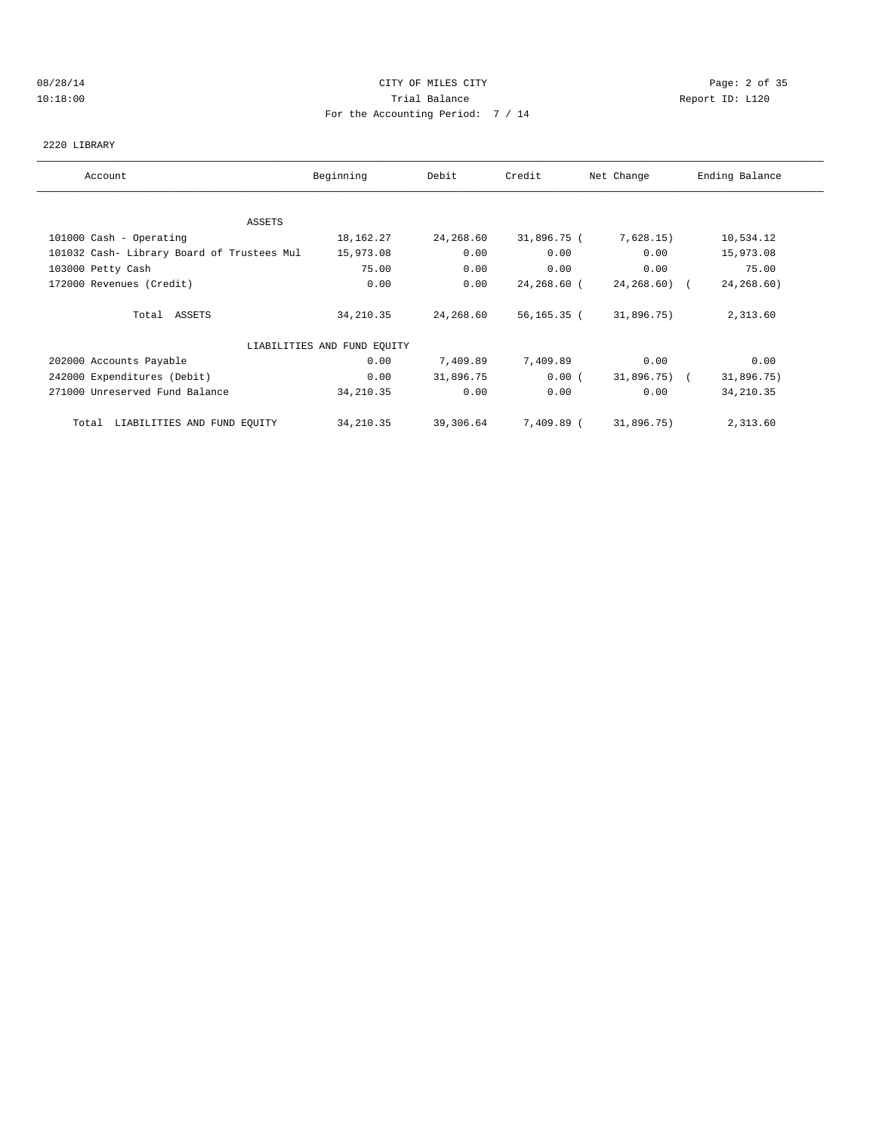## 08/28/14 CITY OF MILES CITY Page: 2 of 35 10:18:00 Trial Balance Report ID: L120 For the Accounting Period: 7 / 14

#### 2220 LIBRARY

| Account                                    | Beginning                   | Debit     | Credit      | Net Change      | Ending Balance |
|--------------------------------------------|-----------------------------|-----------|-------------|-----------------|----------------|
|                                            |                             |           |             |                 |                |
| ASSETS                                     |                             |           |             |                 |                |
| 101000 Cash - Operating                    | 18,162.27                   | 24,268.60 | 31,896.75 ( | 7,628.15)       | 10,534.12      |
| 101032 Cash- Library Board of Trustees Mul | 15,973.08                   | 0.00      | 0.00        | 0.00            | 15,973.08      |
| 103000 Petty Cash                          | 75.00                       | 0.00      | 0.00        | 0.00            | 75.00          |
| 172000 Revenues (Credit)                   | 0.00                        | 0.00      | 24,268.60 ( | $24, 268, 60$ ( | 24,268.60)     |
| Total ASSETS                               | 34,210.35                   | 24,268.60 | 56,165.35 ( | 31,896.75)      | 2,313.60       |
|                                            | LIABILITIES AND FUND EQUITY |           |             |                 |                |
| 202000 Accounts Payable                    | 0.00                        | 7,409.89  | 7,409.89    | 0.00            | 0.00           |
| 242000 Expenditures (Debit)                | 0.00                        | 31,896.75 | 0.00(       | 31,896.75) (    | 31,896.75)     |
| 271000 Unreserved Fund Balance             | 34, 210.35                  | 0.00      | 0.00        | 0.00            | 34, 210.35     |
| LIABILITIES AND FUND EQUITY<br>Total       | 34,210.35                   | 39,306.64 | 7,409.89 (  | 31,896.75)      | 2,313.60       |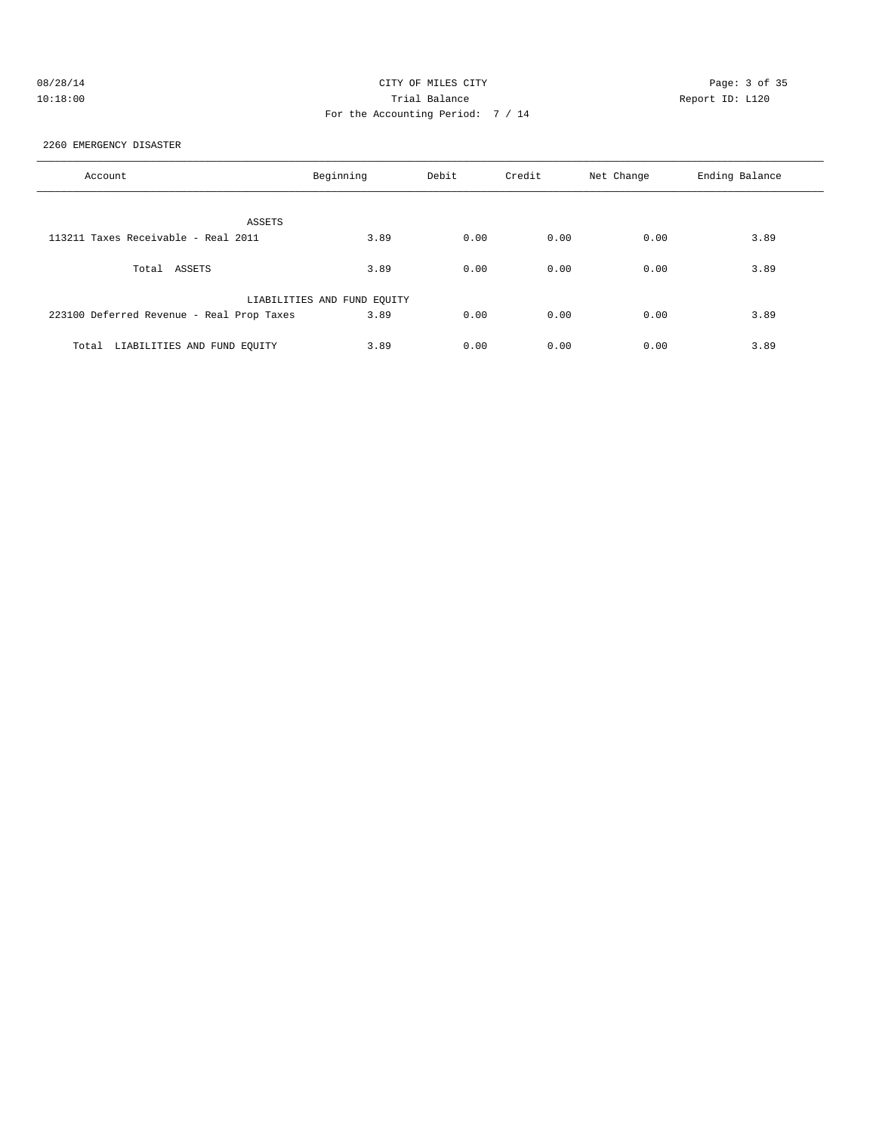## 08/28/14 CITY OF MILES CITY Page: 3 of 35 10:18:00 Trial Balance Report ID: L120 For the Accounting Period: 7 / 14

2260 EMERGENCY DISASTER

| Account                                   | Beginning                   | Debit | Credit | Net Change | Ending Balance |
|-------------------------------------------|-----------------------------|-------|--------|------------|----------------|
| ASSETS                                    |                             |       |        |            |                |
| 113211 Taxes Receivable - Real 2011       | 3.89                        | 0.00  | 0.00   | 0.00       | 3.89           |
| ASSETS<br>Total                           | 3.89                        | 0.00  | 0.00   | 0.00       | 3.89           |
|                                           | LIABILITIES AND FUND EQUITY |       |        |            |                |
| 223100 Deferred Revenue - Real Prop Taxes | 3.89                        | 0.00  | 0.00   | 0.00       | 3.89           |
| LIABILITIES AND FUND EQUITY<br>Total      | 3.89                        | 0.00  | 0.00   | 0.00       | 3.89           |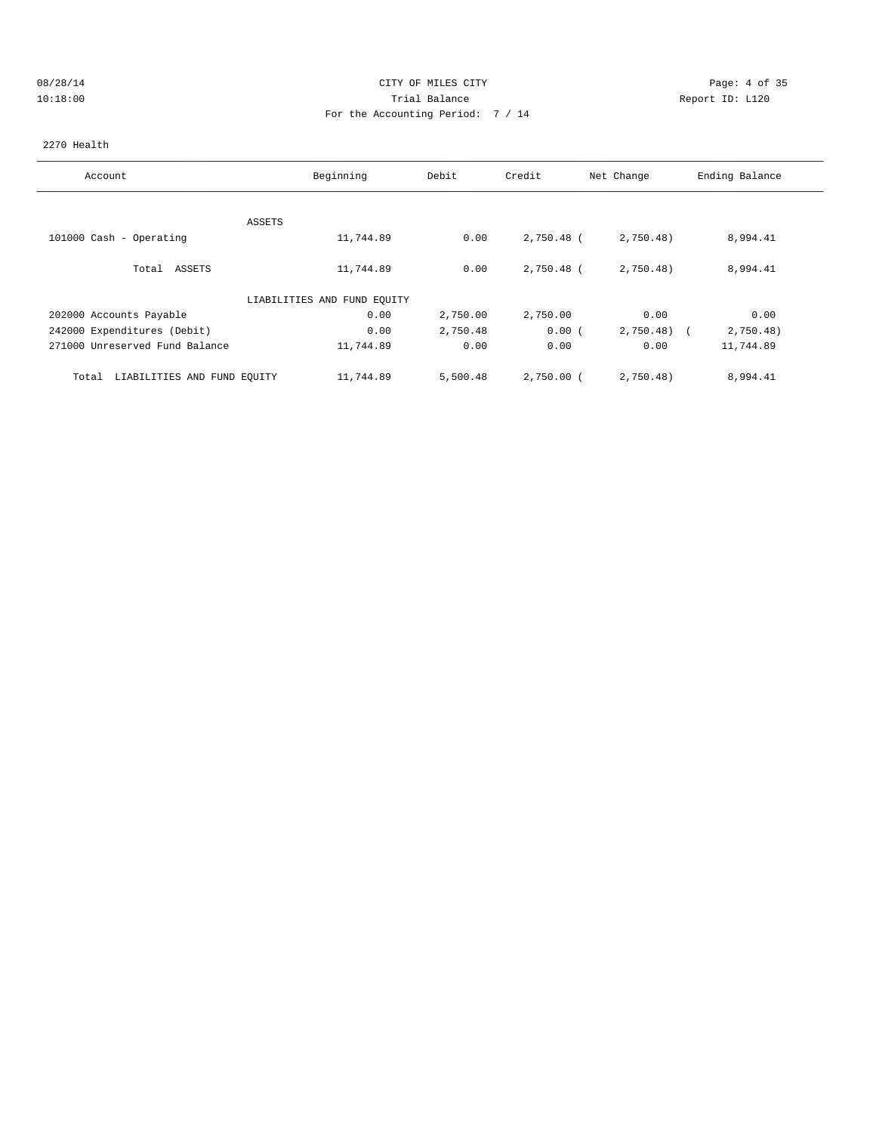## 08/28/14 CITY OF MILES CITY Page: 4 of 35 10:18:00 Trial Balance Report ID: L120 For the Accounting Period: 7 / 14

#### 2270 Health

| Account                              | Beginning                   | Debit    | Credit     | Net Change   | Ending Balance |
|--------------------------------------|-----------------------------|----------|------------|--------------|----------------|
|                                      | ASSETS                      |          |            |              |                |
| 101000 Cash - Operating              | 11,744.89                   | 0.00     | 2,750.48 ( | 2,750.48)    | 8,994.41       |
| Total ASSETS                         | 11,744.89                   | 0.00     | 2,750.48 ( | 2,750.48)    | 8,994.41       |
|                                      | LIABILITIES AND FUND EQUITY |          |            |              |                |
| 202000 Accounts Payable              | 0.00                        | 2,750.00 | 2,750.00   | 0.00         | 0.00           |
| 242000 Expenditures (Debit)          | 0.00                        | 2,750.48 | 0.00(      | $2,750.48$ ( | 2,750.48)      |
| 271000 Unreserved Fund Balance       | 11,744.89                   | 0.00     | 0.00       | 0.00         | 11,744.89      |
| LIABILITIES AND FUND EQUITY<br>Total | 11,744.89                   | 5,500.48 | 2,750.00 ( | 2,750.48)    | 8,994.41       |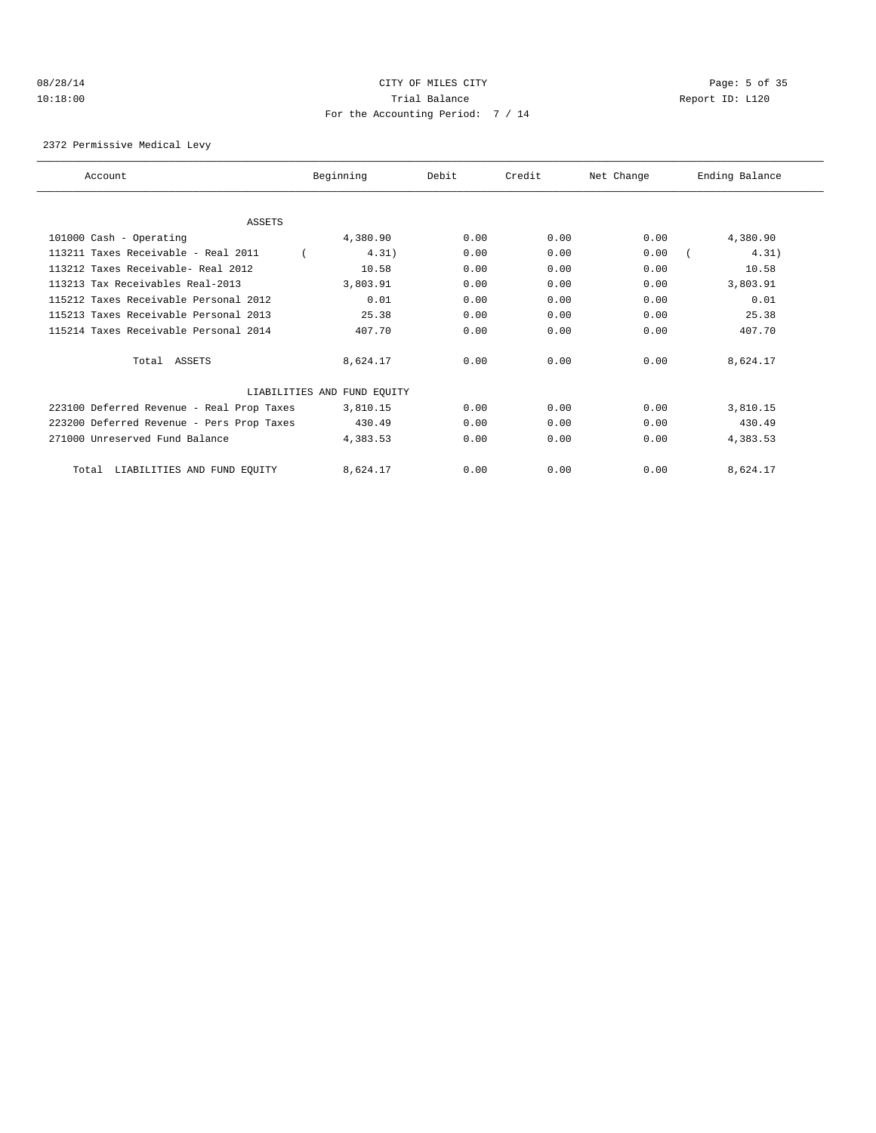## 08/28/14 CITY OF MILES CITY Page: 5 of 35 10:18:00 Trial Balance Report ID: L120 For the Accounting Period: 7 / 14

2372 Permissive Medical Levy

| Account                                   | Beginning                   | Debit | Credit | Net Change | Ending Balance |
|-------------------------------------------|-----------------------------|-------|--------|------------|----------------|
|                                           |                             |       |        |            |                |
| <b>ASSETS</b>                             |                             |       |        |            |                |
| 101000 Cash - Operating                   | 4,380.90                    | 0.00  | 0.00   | 0.00       | 4,380.90       |
| 113211 Taxes Receivable - Real 2011       | 4.31)                       | 0.00  | 0.00   | 0.00       | 4.31)          |
| 113212 Taxes Receivable- Real 2012        | 10.58                       | 0.00  | 0.00   | 0.00       | 10.58          |
| 113213 Tax Receivables Real-2013          | 3,803.91                    | 0.00  | 0.00   | 0.00       | 3,803.91       |
| 115212 Taxes Receivable Personal 2012     | 0.01                        | 0.00  | 0.00   | 0.00       | 0.01           |
| 115213 Taxes Receivable Personal 2013     | 25.38                       | 0.00  | 0.00   | 0.00       | 25.38          |
| 115214 Taxes Receivable Personal 2014     | 407.70                      | 0.00  | 0.00   | 0.00       | 407.70         |
| Total ASSETS                              | 8,624.17                    | 0.00  | 0.00   | 0.00       | 8,624.17       |
|                                           | LIABILITIES AND FUND EQUITY |       |        |            |                |
| 223100 Deferred Revenue - Real Prop Taxes | 3,810.15                    | 0.00  | 0.00   | 0.00       | 3,810.15       |
| 223200 Deferred Revenue - Pers Prop Taxes | 430.49                      | 0.00  | 0.00   | 0.00       | 430.49         |
| 271000 Unreserved Fund Balance            | 4,383.53                    | 0.00  | 0.00   | 0.00       | 4,383.53       |
| LIABILITIES AND FUND EQUITY<br>Total      | 8,624.17                    | 0.00  | 0.00   | 0.00       | 8,624.17       |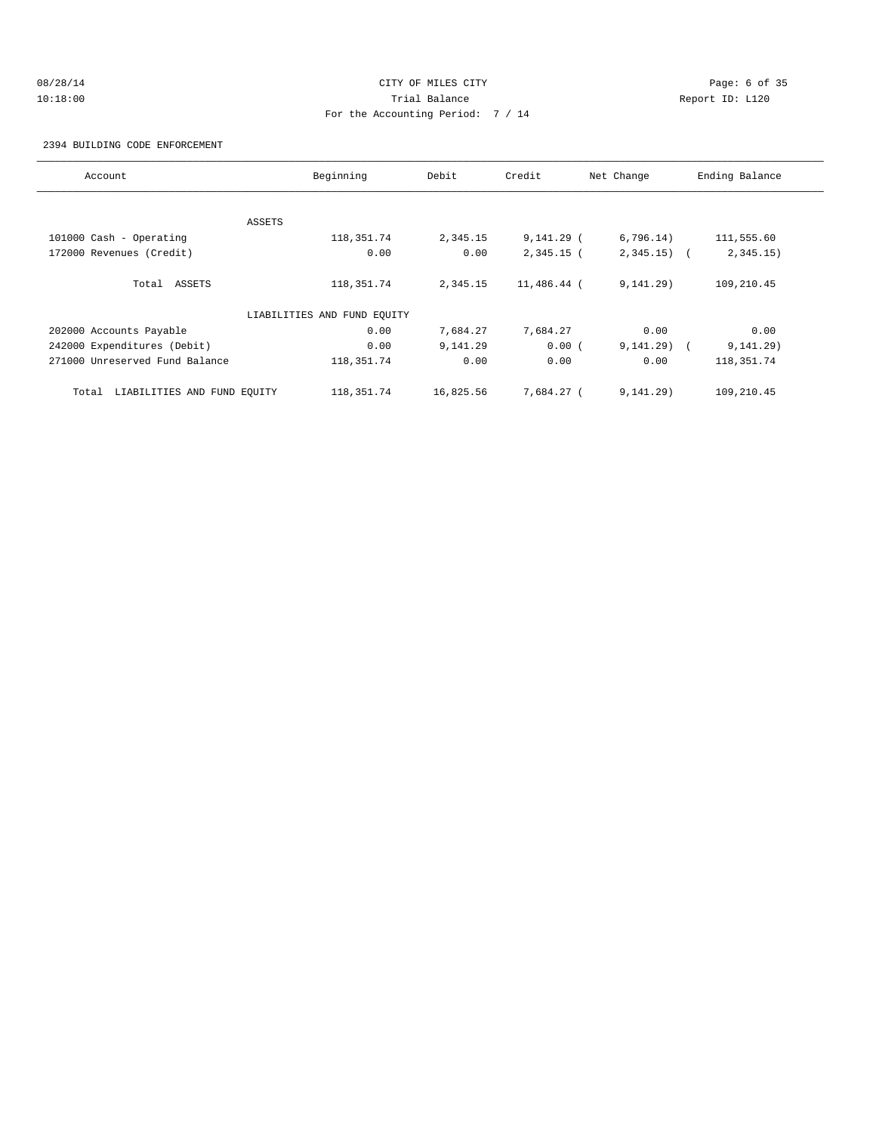## 08/28/14 Page: 6 of 35 10:18:00 Trial Balance Report ID: L120 For the Accounting Period: 7 / 14

2394 BUILDING CODE ENFORCEMENT

| Account                              | Beginning                   | Debit     | Credit       | Net Change   | Ending Balance |
|--------------------------------------|-----------------------------|-----------|--------------|--------------|----------------|
|                                      |                             |           |              |              |                |
|                                      | ASSETS                      |           |              |              |                |
| 101000 Cash - Operating              | 118, 351.74                 | 2,345.15  | $9,141.29$ ( | 6,796.14)    | 111,555.60     |
| 172000 Revenues (Credit)             | 0.00                        | 0.00      | $2,345.15$ ( | $2,345.15$ ( | 2,345.15)      |
| Total ASSETS                         | 118, 351. 74                | 2,345.15  | 11,486.44 (  | 9, 141, 29)  | 109,210.45     |
|                                      | LIABILITIES AND FUND EQUITY |           |              |              |                |
| 202000 Accounts Payable              | 0.00                        | 7,684.27  | 7,684.27     | 0.00         | 0.00           |
| 242000 Expenditures (Debit)          | 0.00                        | 9,141.29  | 0.00(        | 9, 141, 29)  | 9, 141.29)     |
| 271000 Unreserved Fund Balance       | 118, 351. 74                | 0.00      | 0.00         | 0.00         | 118, 351. 74   |
| LIABILITIES AND FUND EQUITY<br>Total | 118, 351. 74                | 16,825.56 | 7.684.27 (   | 9, 141.29)   | 109,210.45     |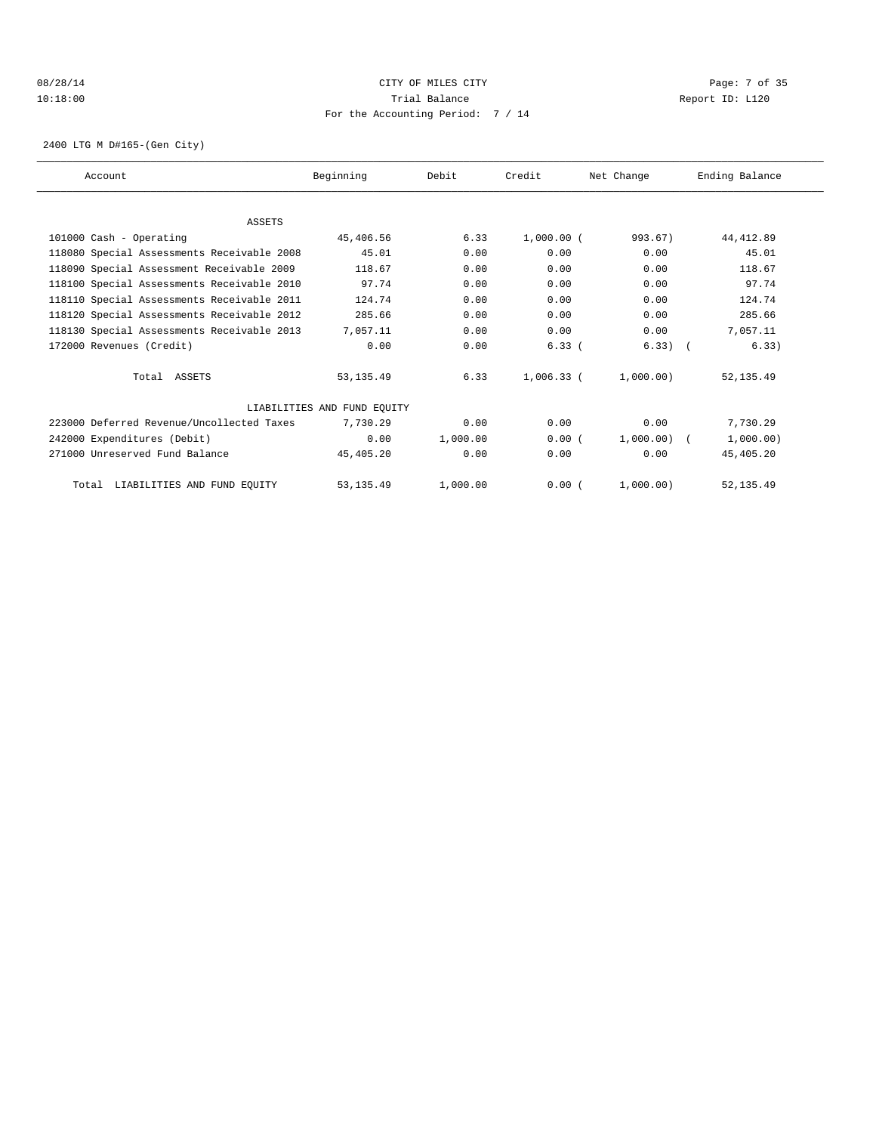## 08/28/14 Page: 7 of 35 10:18:00 Trial Balance Report ID: L120 For the Accounting Period: 7 / 14

2400 LTG M D#165-(Gen City)

| Account                                    | Beginning                   | Debit    | Credit       | Net Change | Ending Balance |
|--------------------------------------------|-----------------------------|----------|--------------|------------|----------------|
|                                            |                             |          |              |            |                |
| ASSETS                                     |                             |          |              |            |                |
| 101000 Cash - Operating                    | 45,406.56                   | 6.33     | $1,000.00$ ( | 993.67)    | 44, 412.89     |
| 118080 Special Assessments Receivable 2008 | 45.01                       | 0.00     | 0.00         | 0.00       | 45.01          |
| 118090 Special Assessment Receivable 2009  | 118.67                      | 0.00     | 0.00         | 0.00       | 118.67         |
| 118100 Special Assessments Receivable 2010 | 97.74                       | 0.00     | 0.00         | 0.00       | 97.74          |
| 118110 Special Assessments Receivable 2011 | 124.74                      | 0.00     | 0.00         | 0.00       | 124.74         |
| 118120 Special Assessments Receivable 2012 | 285.66                      | 0.00     | 0.00         | 0.00       | 285.66         |
| 118130 Special Assessments Receivable 2013 | 7,057.11                    | 0.00     | 0.00         | 0.00       | 7,057.11       |
| 172000 Revenues (Credit)                   | 0.00                        | 0.00     | 6.33(        | $6.33)$ (  | 6.33)          |
| Total ASSETS                               | 53, 135.49                  | 6.33     | 1,006.33 (   | 1,000.00)  | 52, 135.49     |
|                                            | LIABILITIES AND FUND EQUITY |          |              |            |                |
| 223000 Deferred Revenue/Uncollected Taxes  | 7,730.29                    | 0.00     | 0.00         | 0.00       | 7,730.29       |
| 242000 Expenditures (Debit)                | 0.00                        | 1,000.00 | 0.00(        | 1,000.00)  | 1,000.00)      |
| 271000 Unreserved Fund Balance             | 45,405.20                   | 0.00     | 0.00         | 0.00       | 45,405.20      |
| LIABILITIES AND FUND EQUITY<br>Total       | 53, 135.49                  | 1,000.00 | 0.00(        | 1,000,00)  | 52, 135.49     |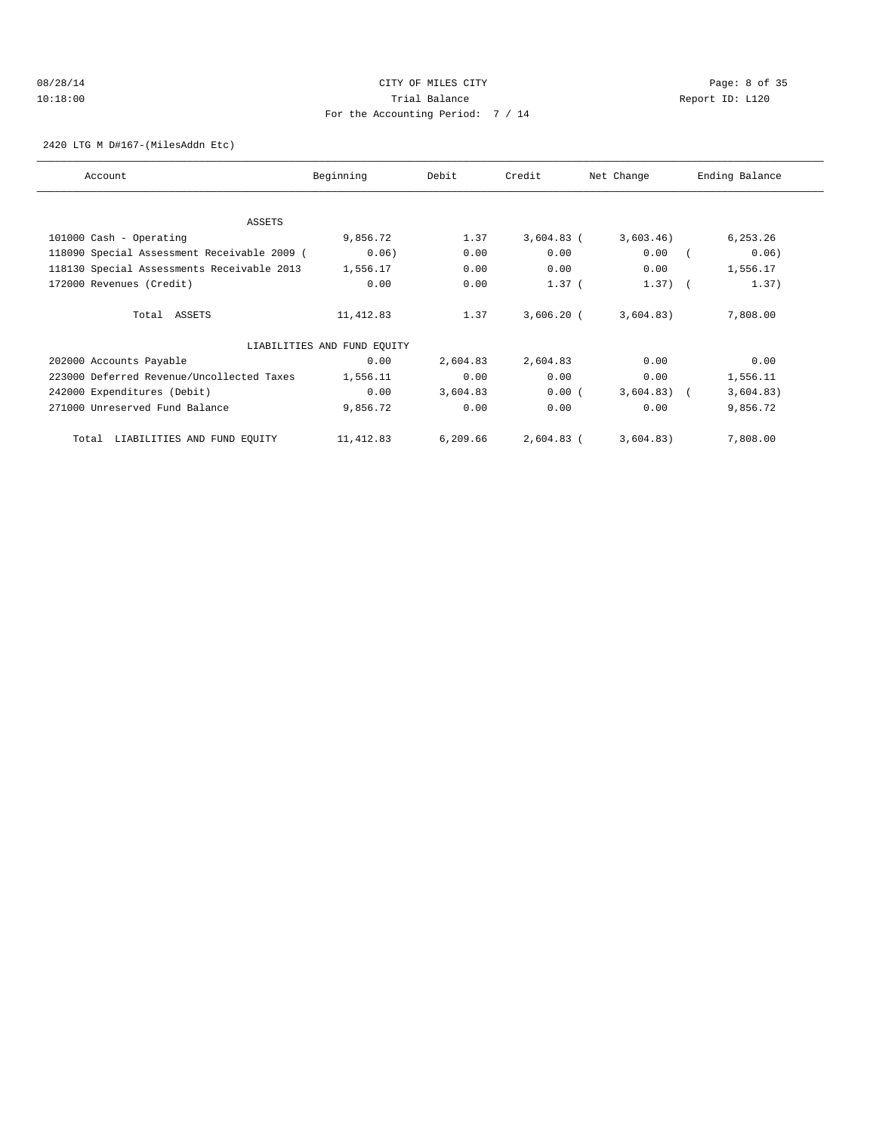## 08/28/14 CITY OF MILES CITY Page: 8 of 35 10:18:00 Trial Balance Report ID: L120 For the Accounting Period: 7 / 14

2420 LTG M D#167-(MilesAddn Etc)

| Account                                     | Beginning                   | Debit    | Credit       | Net Change | Ending Balance |
|---------------------------------------------|-----------------------------|----------|--------------|------------|----------------|
|                                             |                             |          |              |            |                |
| ASSETS                                      |                             |          |              |            |                |
| 101000 Cash - Operating                     | 9,856.72                    | 1.37     | $3,604.83$ ( | 3,603.46)  | 6,253.26       |
| 118090 Special Assessment Receivable 2009 ( | 0.06)                       | 0.00     | 0.00         | 0.00       | 0.06)          |
| 118130 Special Assessments Receivable 2013  | 1,556.17                    | 0.00     | 0.00         | 0.00       | 1,556.17       |
| 172000 Revenues (Credit)                    | 0.00                        | 0.00     | $1.37$ (     | $1.37)$ (  | 1.37)          |
| Total ASSETS                                | 11,412.83                   | 1.37     | $3,606.20$ ( | 3,604.83)  | 7,808.00       |
|                                             | LIABILITIES AND FUND EQUITY |          |              |            |                |
| 202000 Accounts Payable                     | 0.00                        | 2,604.83 | 2,604.83     | 0.00       | 0.00           |
| 223000 Deferred Revenue/Uncollected Taxes   | 1,556.11                    | 0.00     | 0.00         | 0.00       | 1,556.11       |
| 242000 Expenditures (Debit)                 | 0.00                        | 3,604.83 | 0.00(        | 3,604.83)  | 3,604.83)      |
| 271000 Unreserved Fund Balance              | 9,856.72                    | 0.00     | 0.00         | 0.00       | 9,856.72       |
| LIABILITIES AND FUND EQUITY<br>Total        | 11,412.83                   | 6,209.66 | $2,604.83$ ( | 3,604.83)  | 7,808.00       |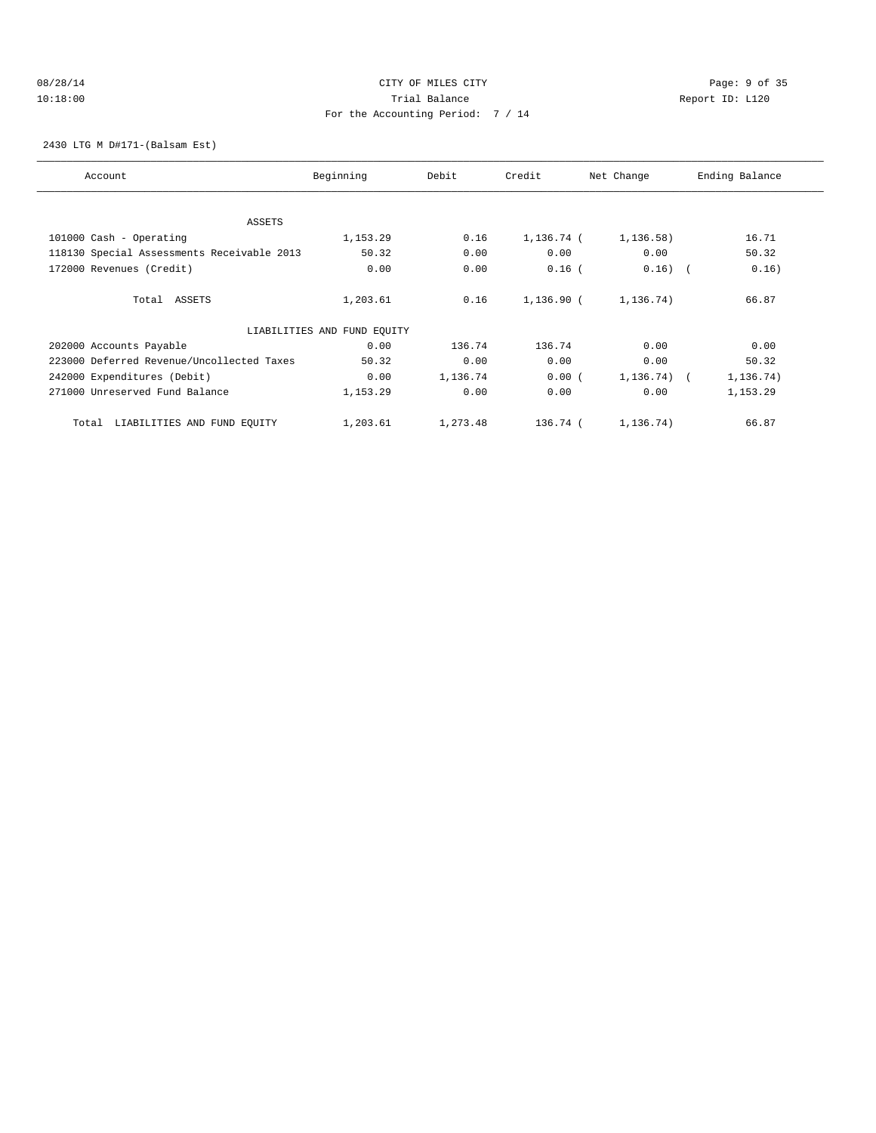## 08/28/14 Page: 9 of 35 10:18:00 Trial Balance Report ID: L120 For the Accounting Period: 7 / 14

2430 LTG M D#171-(Balsam Est)

| Account                                    | Beginning                   | Debit    | Credit     | Net Change   | Ending Balance |
|--------------------------------------------|-----------------------------|----------|------------|--------------|----------------|
|                                            |                             |          |            |              |                |
| ASSETS                                     |                             |          |            |              |                |
| 101000 Cash - Operating                    | 1,153.29                    | 0.16     | 1,136.74 ( | 1, 136.58)   | 16.71          |
| 118130 Special Assessments Receivable 2013 | 50.32                       | 0.00     | 0.00       | 0.00         | 50.32          |
| 172000 Revenues (Credit)                   | 0.00                        | 0.00     | $0.16$ (   | $0.16)$ (    | 0.16)          |
| Total ASSETS                               | 1,203.61                    | 0.16     | 1,136.90 ( | 1,136.74)    | 66.87          |
|                                            | LIABILITIES AND FUND EQUITY |          |            |              |                |
| 202000 Accounts Payable                    | 0.00                        | 136.74   | 136.74     | 0.00         | 0.00           |
| 223000 Deferred Revenue/Uncollected Taxes  | 50.32                       | 0.00     | 0.00       | 0.00         | 50.32          |
| 242000 Expenditures (Debit)                | 0.00                        | 1,136.74 | 0.00(      | $1,136.74$ ( | 1,136.74)      |
| 271000 Unreserved Fund Balance             | 1,153.29                    | 0.00     | 0.00       | 0.00         | 1,153.29       |
| LIABILITIES AND FUND EQUITY<br>Total       | 1,203.61                    | 1,273.48 | 136.74 (   | 1,136.74)    | 66.87          |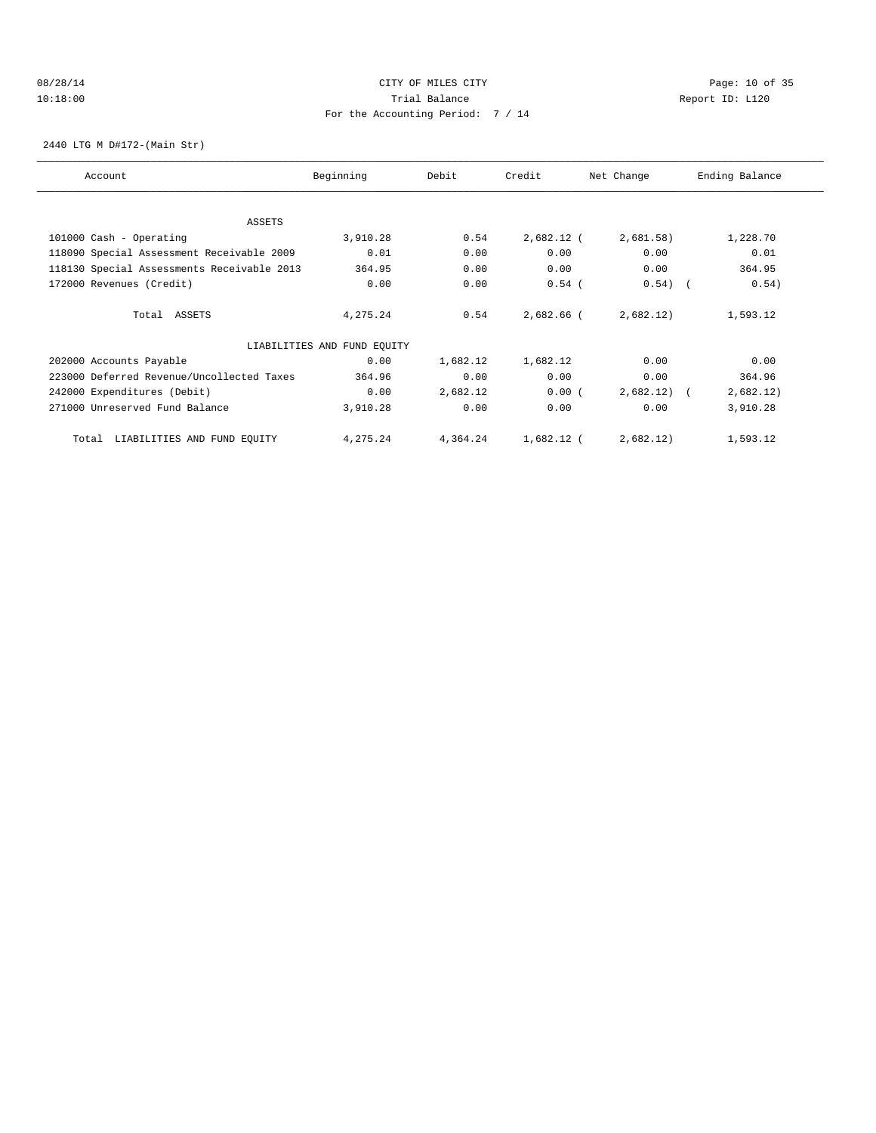## 08/28/14 Page: 10 of 35 10:18:00 Trial Balance Report ID: L120 For the Accounting Period: 7 / 14

2440 LTG M D#172-(Main Str)

| Account                                    | Beginning                   | Debit    | Credit     | Net Change | Ending Balance |
|--------------------------------------------|-----------------------------|----------|------------|------------|----------------|
|                                            |                             |          |            |            |                |
| <b>ASSETS</b>                              |                             |          |            |            |                |
| 101000 Cash - Operating                    | 3,910.28                    | 0.54     | 2,682.12 ( | 2,681.58)  | 1,228.70       |
| 118090 Special Assessment Receivable 2009  | 0.01                        | 0.00     | 0.00       | 0.00       | 0.01           |
| 118130 Special Assessments Receivable 2013 | 364.95                      | 0.00     | 0.00       | 0.00       | 364.95         |
| 172000 Revenues (Credit)                   | 0.00                        | 0.00     | $0.54$ (   | 0.54)      | 0.54)          |
| Total ASSETS                               | 4,275.24                    | 0.54     | 2,682.66 ( | 2,682.12)  | 1,593.12       |
|                                            | LIABILITIES AND FUND EQUITY |          |            |            |                |
| 202000 Accounts Payable                    | 0.00                        | 1,682.12 | 1,682.12   | 0.00       | 0.00           |
| 223000 Deferred Revenue/Uncollected Taxes  | 364.96                      | 0.00     | 0.00       | 0.00       | 364.96         |
| 242000 Expenditures (Debit)                | 0.00                        | 2,682.12 | 0.00(      | 2,682.12)  | 2,682.12)      |
| 271000 Unreserved Fund Balance             | 3,910.28                    | 0.00     | 0.00       | 0.00       | 3,910.28       |
| LIABILITIES AND FUND EQUITY<br>Total       | 4,275.24                    | 4,364.24 | 1,682.12 ( | 2,682.12)  | 1,593.12       |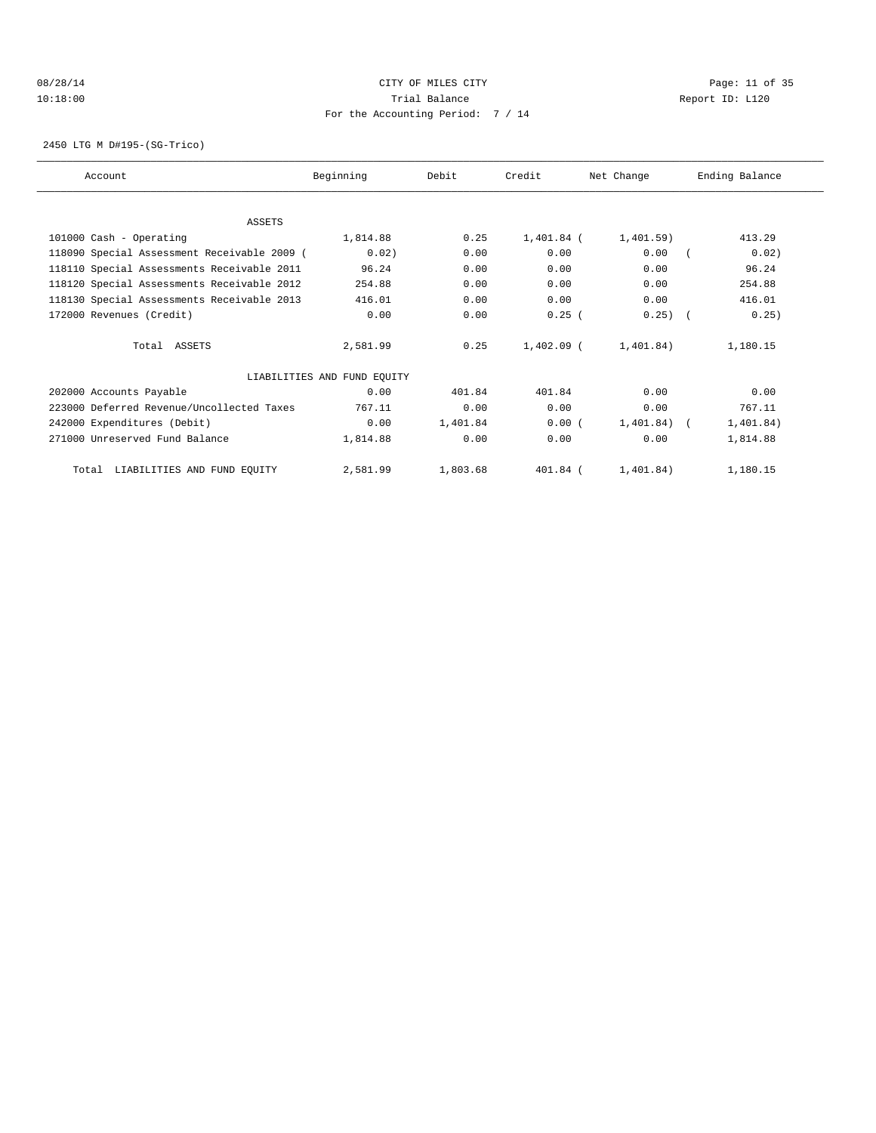## 08/28/14 Page: 11 of 35 10:18:00 Trial Balance Report ID: L120 For the Accounting Period: 7 / 14

2450 LTG M D#195-(SG-Trico)

| Account                                     | Beginning                   | Debit    | Credit       | Net Change     | Ending Balance |
|---------------------------------------------|-----------------------------|----------|--------------|----------------|----------------|
|                                             |                             |          |              |                |                |
| <b>ASSETS</b>                               |                             |          |              |                |                |
| 101000 Cash - Operating                     | 1,814.88                    | 0.25     | 1,401.84 (   | 1,401.59)      | 413.29         |
| 118090 Special Assessment Receivable 2009 ( | 0.02)                       | 0.00     | 0.00         | 0.00           | 0.02)          |
| 118110 Special Assessments Receivable 2011  | 96.24                       | 0.00     | 0.00         | 0.00           | 96.24          |
| 118120 Special Assessments Receivable 2012  | 254.88                      | 0.00     | 0.00         | 0.00           | 254.88         |
| 118130 Special Assessments Receivable 2013  | 416.01                      | 0.00     | 0.00         | 0.00           | 416.01         |
| 172000 Revenues (Credit)                    | 0.00                        | 0.00     | 0.25(        | $0.25$ $($     | 0.25)          |
| Total ASSETS                                | 2,581.99                    | 0.25     | $1.402.09$ ( | 1,401,84)      | 1,180.15       |
|                                             | LIABILITIES AND FUND EQUITY |          |              |                |                |
| 202000 Accounts Payable                     | 0.00                        | 401.84   | 401.84       | 0.00           | 0.00           |
| 223000 Deferred Revenue/Uncollected Taxes   | 767.11                      | 0.00     | 0.00         | 0.00           | 767.11         |
| 242000 Expenditures (Debit)                 | 0.00                        | 1,401.84 | 0.00(        | $1,401.84$ ) ( | 1,401.84)      |
| 271000 Unreserved Fund Balance              | 1,814.88                    | 0.00     | 0.00         | 0.00           | 1,814.88       |
| Total LIABILITIES AND FUND EQUITY           | 2,581.99                    | 1,803.68 | 401.84 (     | 1,401.84)      | 1,180.15       |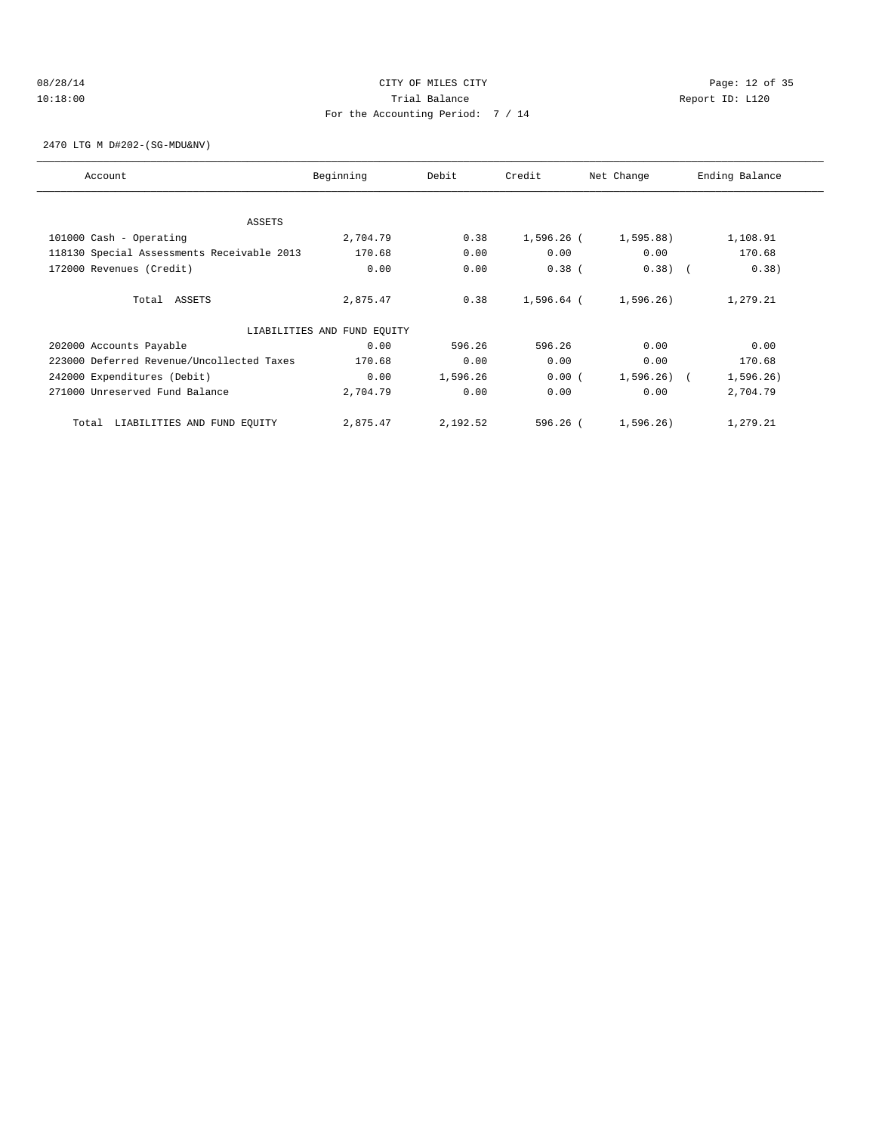## 08/28/14 Page: 12 of 35 10:18:00 Trial Balance Report ID: L120 For the Accounting Period: 7 / 14

2470 LTG M D#202-(SG-MDU&NV)

| Account                                    | Beginning                   | Debit    | Credit     | Net Change     | Ending Balance |
|--------------------------------------------|-----------------------------|----------|------------|----------------|----------------|
| ASSETS                                     |                             |          |            |                |                |
| 101000 Cash - Operating                    | 2,704.79                    | 0.38     | 1,596.26 ( | $1,595.88$ )   | 1,108.91       |
| 118130 Special Assessments Receivable 2013 | 170.68                      | 0.00     | 0.00       | 0.00           | 170.68         |
| 172000 Revenues (Credit)                   | 0.00                        | 0.00     | $0.38$ (   | 0.38)          | 0.38)          |
|                                            |                             |          |            |                |                |
| Total ASSETS                               | 2,875.47                    | 0.38     | 1,596.64 ( | 1,596.26)      | 1,279.21       |
|                                            | LIABILITIES AND FUND EQUITY |          |            |                |                |
| 202000 Accounts Payable                    | 0.00                        | 596.26   | 596.26     | 0.00           | 0.00           |
| 223000 Deferred Revenue/Uncollected Taxes  | 170.68                      | 0.00     | 0.00       | 0.00           | 170.68         |
| 242000 Expenditures (Debit)                | 0.00                        | 1,596.26 | 0.00(      | $1,596.26$ ) ( | 1,596.26)      |
| 271000 Unreserved Fund Balance             | 2,704.79                    | 0.00     | 0.00       | 0.00           | 2,704.79       |
| LIABILITIES AND FUND EQUITY<br>Total       | 2,875.47                    | 2,192.52 | $596.26$ ( | 1,596.26)      | 1,279.21       |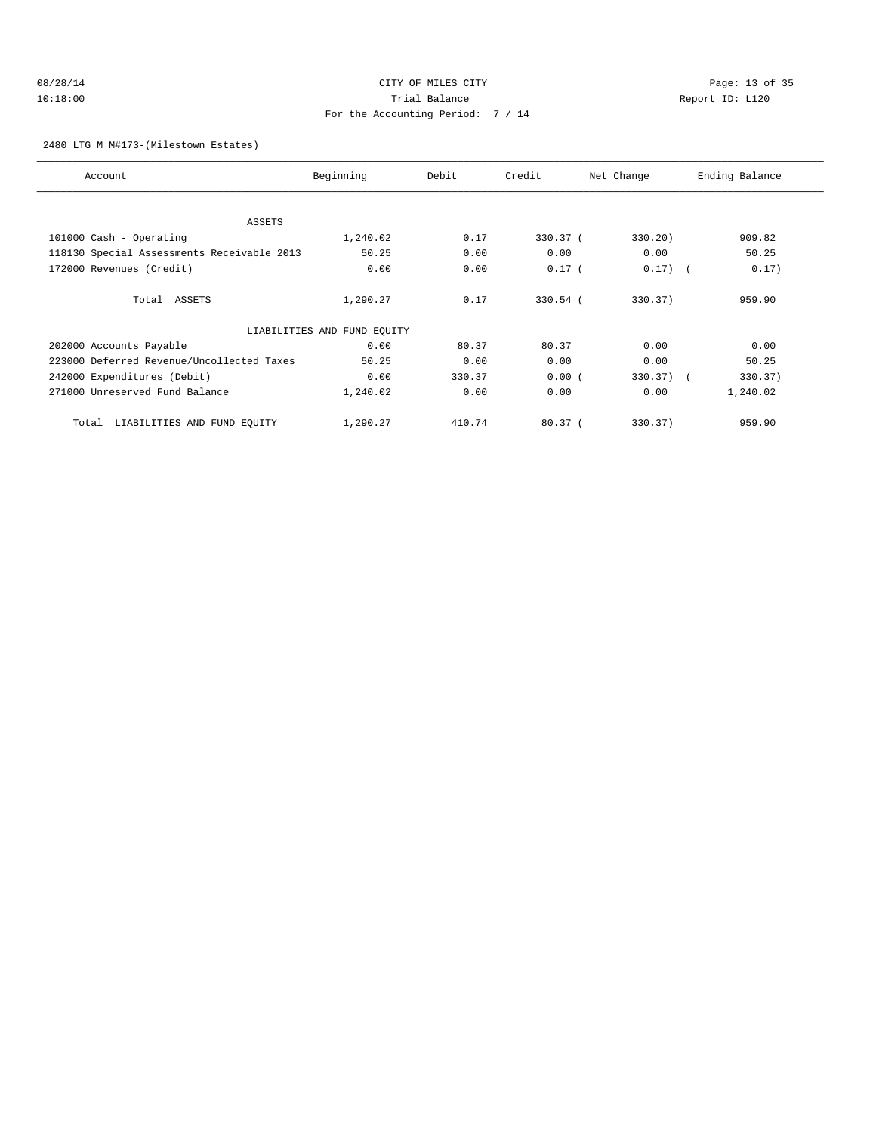## 08/28/14 Page: 13 of 35 10:18:00 Trial Balance Report ID: L120 For the Accounting Period: 7 / 14

2480 LTG M M#173-(Milestown Estates)

| Account                                    | Beginning                   | Debit  | Credit     | Net Change  | Ending Balance |
|--------------------------------------------|-----------------------------|--------|------------|-------------|----------------|
|                                            |                             |        |            |             |                |
| ASSETS                                     |                             |        |            |             |                |
|                                            |                             |        |            |             |                |
| 101000 Cash - Operating                    | 1,240.02                    | 0.17   | 330.37 (   | 330.20)     | 909.82         |
| 118130 Special Assessments Receivable 2013 | 50.25                       | 0.00   | 0.00       | 0.00        | 50.25          |
| 172000 Revenues (Credit)                   | 0.00                        | 0.00   | $0.17$ (   | $0.17)$ (   | 0.17)          |
|                                            |                             |        |            |             |                |
| Total ASSETS                               | 1,290.27                    | 0.17   | $330.54$ ( | 330.37)     | 959.90         |
|                                            |                             |        |            |             |                |
|                                            | LIABILITIES AND FUND EQUITY |        |            |             |                |
| 202000 Accounts Payable                    | 0.00                        | 80.37  | 80.37      | 0.00        | 0.00           |
| 223000 Deferred Revenue/Uncollected Taxes  | 50.25                       | 0.00   | 0.00       | 0.00        | 50.25          |
| 242000 Expenditures (Debit)                | 0.00                        | 330.37 | 0.00(      | $330.37)$ ( | 330.37)        |
| 271000 Unreserved Fund Balance             | 1,240.02                    | 0.00   | 0.00       | 0.00        | 1,240.02       |
|                                            |                             |        |            |             |                |
| LIABILITIES AND FUND EQUITY<br>Total       | 1,290.27                    | 410.74 | 80.37(     | 330.37)     | 959.90         |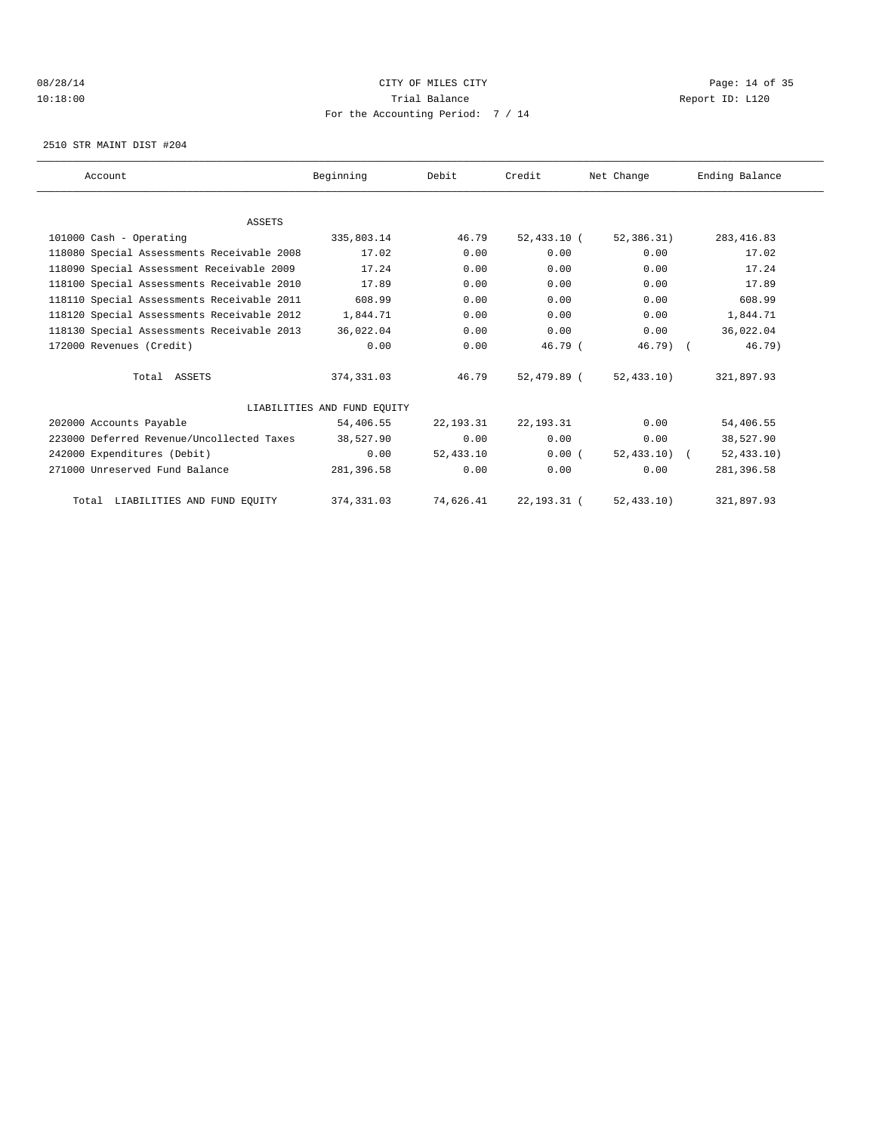## 08/28/14 Page: 14 of 35 10:18:00 Trial Balance Report ID: L120 For the Accounting Period: 7 / 14

2510 STR MAINT DIST #204

| Account                                    | Beginning                   | Debit       | Credit        | Net Change    | Ending Balance |  |
|--------------------------------------------|-----------------------------|-------------|---------------|---------------|----------------|--|
|                                            |                             |             |               |               |                |  |
| <b>ASSETS</b>                              |                             |             |               |               |                |  |
| 101000 Cash - Operating                    | 335,803.14                  | 46.79       | 52,433.10 (   | 52,386.31)    | 283, 416.83    |  |
| 118080 Special Assessments Receivable 2008 | 17.02                       | 0.00        | 0.00          | 0.00          | 17.02          |  |
| 118090 Special Assessment Receivable 2009  | 17.24                       | 0.00        | 0.00          | 0.00          | 17.24          |  |
| 118100 Special Assessments Receivable 2010 | 17.89                       | 0.00        | 0.00          | 0.00          | 17.89          |  |
| 118110 Special Assessments Receivable 2011 | 608.99                      | 0.00        | 0.00          | 0.00          | 608.99         |  |
| 118120 Special Assessments Receivable 2012 | 1,844.71                    | 0.00        | 0.00          | 0.00          | 1,844.71       |  |
| 118130 Special Assessments Receivable 2013 | 36,022.04                   | 0.00        | 0.00          | 0.00          | 36,022.04      |  |
| 172000 Revenues (Credit)                   | 0.00                        | 0.00        | 46.79(        | $46.79$ (     | 46.79)         |  |
| Total ASSETS                               | 374, 331.03                 | 46.79       | 52,479.89 (   | 52, 433, 10)  | 321,897.93     |  |
|                                            | LIABILITIES AND FUND EOUITY |             |               |               |                |  |
| 202000 Accounts Payable                    | 54,406.55                   | 22,193.31   | 22, 193. 31   | 0.00          | 54,406.55      |  |
| 223000 Deferred Revenue/Uncollected Taxes  | 38,527.90                   | 0.00        | 0.00          | 0.00          | 38,527.90      |  |
| 242000 Expenditures (Debit)                | 0.00                        | 52, 433, 10 | 0.00(         | $52,433.10$ ( | 52, 433.10)    |  |
| 271000 Unreserved Fund Balance             | 281,396.58                  | 0.00        | 0.00          | 0.00          | 281,396.58     |  |
| Total LIABILITIES AND FUND EQUITY          | 374, 331.03                 | 74,626.41   | 22, 193. 31 ( | 52, 433.10)   | 321,897.93     |  |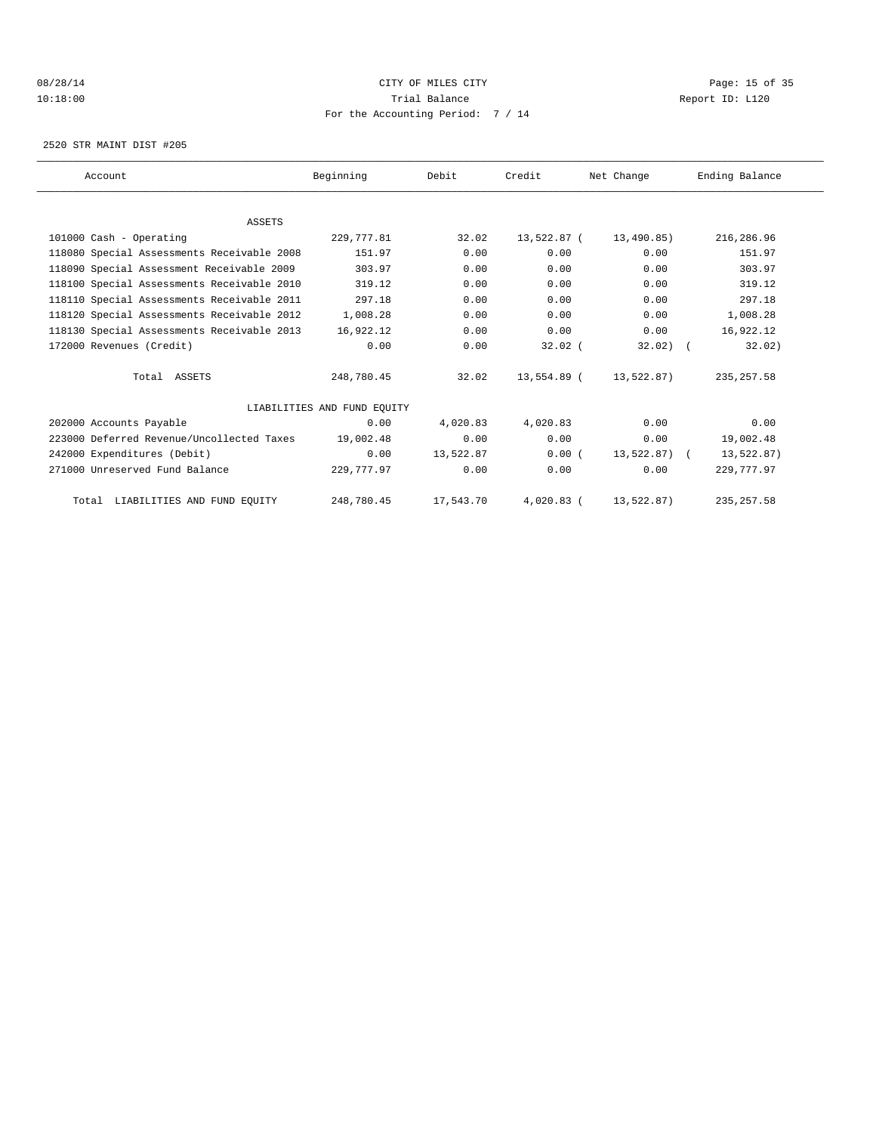## 08/28/14 Page: 15 of 35 10:18:00 Trial Balance Report ID: L120 For the Accounting Period: 7 / 14

2520 STR MAINT DIST #205

| Account                                    | Beginning                   | Debit     | Credit      | Net Change      | Ending Balance |  |
|--------------------------------------------|-----------------------------|-----------|-------------|-----------------|----------------|--|
|                                            |                             |           |             |                 |                |  |
| <b>ASSETS</b>                              |                             |           |             |                 |                |  |
| 101000 Cash - Operating                    | 229,777.81                  | 32.02     | 13,522.87 ( | 13,490.85)      | 216,286.96     |  |
| 118080 Special Assessments Receivable 2008 | 151.97                      | 0.00      | 0.00        | 0.00            | 151.97         |  |
| 118090 Special Assessment Receivable 2009  | 303.97                      | 0.00      | 0.00        | 0.00            | 303.97         |  |
| 118100 Special Assessments Receivable 2010 | 319.12                      | 0.00      | 0.00        | 0.00            | 319.12         |  |
| 118110 Special Assessments Receivable 2011 | 297.18                      | 0.00      | 0.00        | 0.00            | 297.18         |  |
| 118120 Special Assessments Receivable 2012 | 1,008.28                    | 0.00      | 0.00        | 0.00            | 1,008.28       |  |
| 118130 Special Assessments Receivable 2013 | 16,922.12                   | 0.00      | 0.00        | 0.00            | 16,922.12      |  |
| 172000 Revenues (Credit)                   | 0.00                        | 0.00      | $32.02$ (   | $32.02)$ (      | 32.02)         |  |
| Total ASSETS                               | 248,780.45                  | 32.02     | 13,554.89 ( | 13,522.87)      | 235, 257.58    |  |
|                                            | LIABILITIES AND FUND EQUITY |           |             |                 |                |  |
| 202000 Accounts Payable                    | 0.00                        | 4,020.83  | 4,020.83    | 0.00            | 0.00           |  |
| 223000 Deferred Revenue/Uncollected Taxes  | 19,002.48                   | 0.00      | 0.00        | 0.00            | 19,002.48      |  |
| 242000 Expenditures (Debit)                | 0.00                        | 13,522.87 | 0.00(       | $13,522.87$ ) ( | 13,522.87)     |  |
| 271000 Unreserved Fund Balance             | 229,777.97                  | 0.00      | 0.00        | 0.00            | 229,777.97     |  |
| Total LIABILITIES AND FUND EQUITY          | 248,780.45                  | 17,543.70 | 4,020.83 (  | 13,522.87)      | 235, 257.58    |  |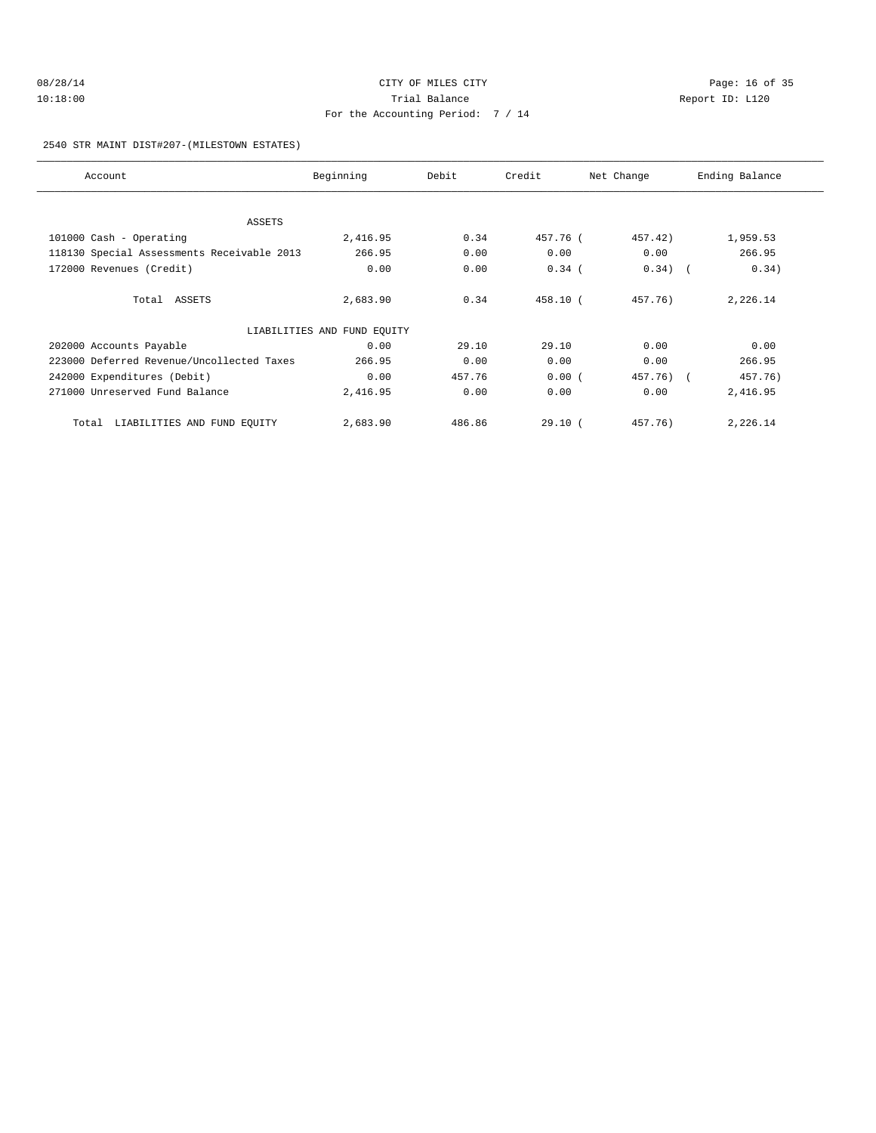## 2540 STR MAINT DIST#207-(MILESTOWN ESTATES)

| Account                                    | Beginning                   | Debit  | Credit   | Net Change | Ending Balance |
|--------------------------------------------|-----------------------------|--------|----------|------------|----------------|
| ASSETS                                     |                             |        |          |            |                |
| 101000 Cash - Operating                    | 2,416.95                    | 0.34   | 457.76 ( | 457.42)    | 1,959.53       |
| 118130 Special Assessments Receivable 2013 | 266.95                      | 0.00   | 0.00     | 0.00       | 266.95         |
| 172000 Revenues (Credit)                   | 0.00                        | 0.00   | $0.34$ ( | $0.34)$ (  | 0.34)          |
| Total ASSETS                               | 2,683.90                    | 0.34   | 458.10 ( | 457.76)    | 2,226.14       |
|                                            | LIABILITIES AND FUND EQUITY |        |          |            |                |
| 202000 Accounts Payable                    | 0.00                        | 29.10  | 29.10    | 0.00       | 0.00           |
| 223000 Deferred Revenue/Uncollected Taxes  | 266.95                      | 0.00   | 0.00     | 0.00       | 266.95         |
| 242000 Expenditures (Debit)                | 0.00                        | 457.76 | 0.00(    | 457.76) (  | 457.76)        |
| 271000 Unreserved Fund Balance             | 2,416.95                    | 0.00   | 0.00     | 0.00       | 2,416.95       |
| LIABILITIES AND FUND EQUITY<br>Total       | 2,683.90                    | 486.86 | 29.10(   | 457.76)    | 2,226.14       |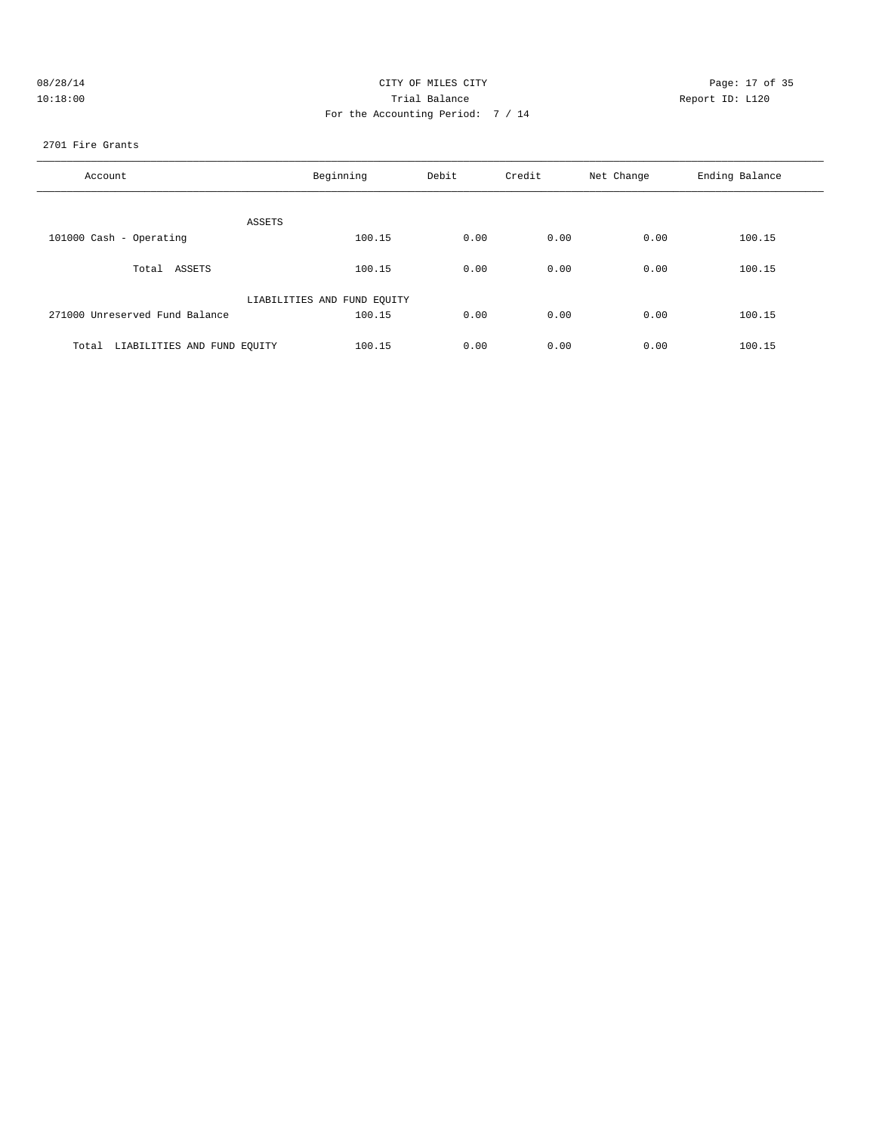| 08/28/14 | CITY OF MILES CITY                | Page: 17 of 35  |
|----------|-----------------------------------|-----------------|
| 10:18:00 | Trial Balance                     | Report ID: L120 |
|          | For the Accounting Period: 7 / 14 |                 |

#### 2701 Fire Grants

| Account                              | Beginning                   | Debit | Credit | Net Change | Ending Balance |
|--------------------------------------|-----------------------------|-------|--------|------------|----------------|
| ASSETS                               |                             |       |        |            |                |
| 101000 Cash - Operating              | 100.15                      | 0.00  | 0.00   | 0.00       | 100.15         |
| Total ASSETS                         | 100.15                      | 0.00  | 0.00   | 0.00       | 100.15         |
|                                      | LIABILITIES AND FUND EQUITY |       |        |            |                |
| 271000 Unreserved Fund Balance       | 100.15                      | 0.00  | 0.00   | 0.00       | 100.15         |
| LIABILITIES AND FUND EQUITY<br>Total | 100.15                      | 0.00  | 0.00   | 0.00       | 100.15         |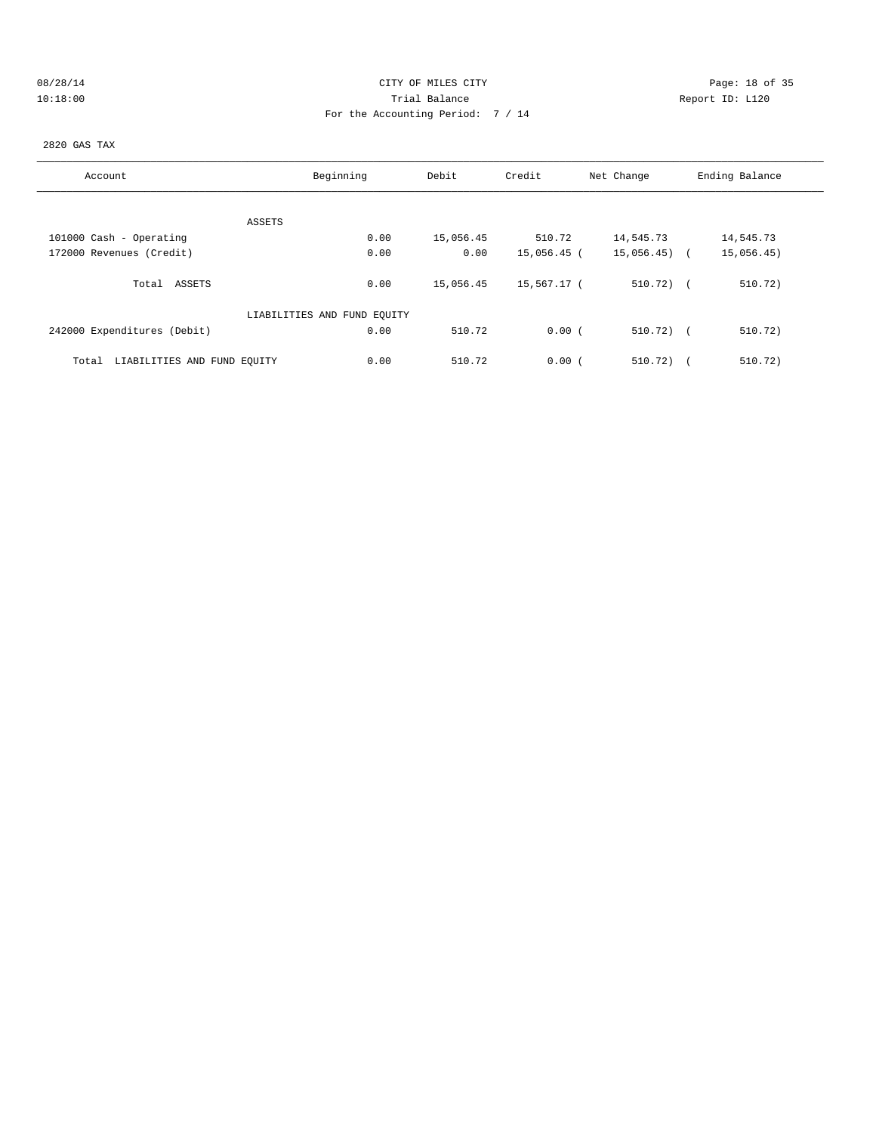## 08/28/14 Page: 18 of 35 10:18:00 Trial Balance Report ID: L120 For the Accounting Period: 7 / 14

2820 GAS TAX

| Account                              | Beginning                   | Debit     | Credit      | Net Change     | Ending Balance |
|--------------------------------------|-----------------------------|-----------|-------------|----------------|----------------|
|                                      |                             |           |             |                |                |
|                                      | ASSETS                      |           |             |                |                |
| 101000 Cash - Operating              | 0.00                        | 15,056.45 | 510.72      | 14,545.73      | 14,545.73      |
| 172000 Revenues (Credit)             | 0.00                        | 0.00      | 15,056.45 ( | $15,056.45$ (  | 15,056.45)     |
| Total ASSETS                         | 0.00                        | 15,056.45 | 15,567.17 ( | $510.72$ ) $($ | 510.72)        |
|                                      | LIABILITIES AND FUND EQUITY |           |             |                |                |
| 242000 Expenditures (Debit)          | 0.00                        | 510.72    | 0.00(       | $510.72$ ) (   | 510.72)        |
| LIABILITIES AND FUND EQUITY<br>Total | 0.00                        | 510.72    | 0.00(       | 510.72)        | 510.72)        |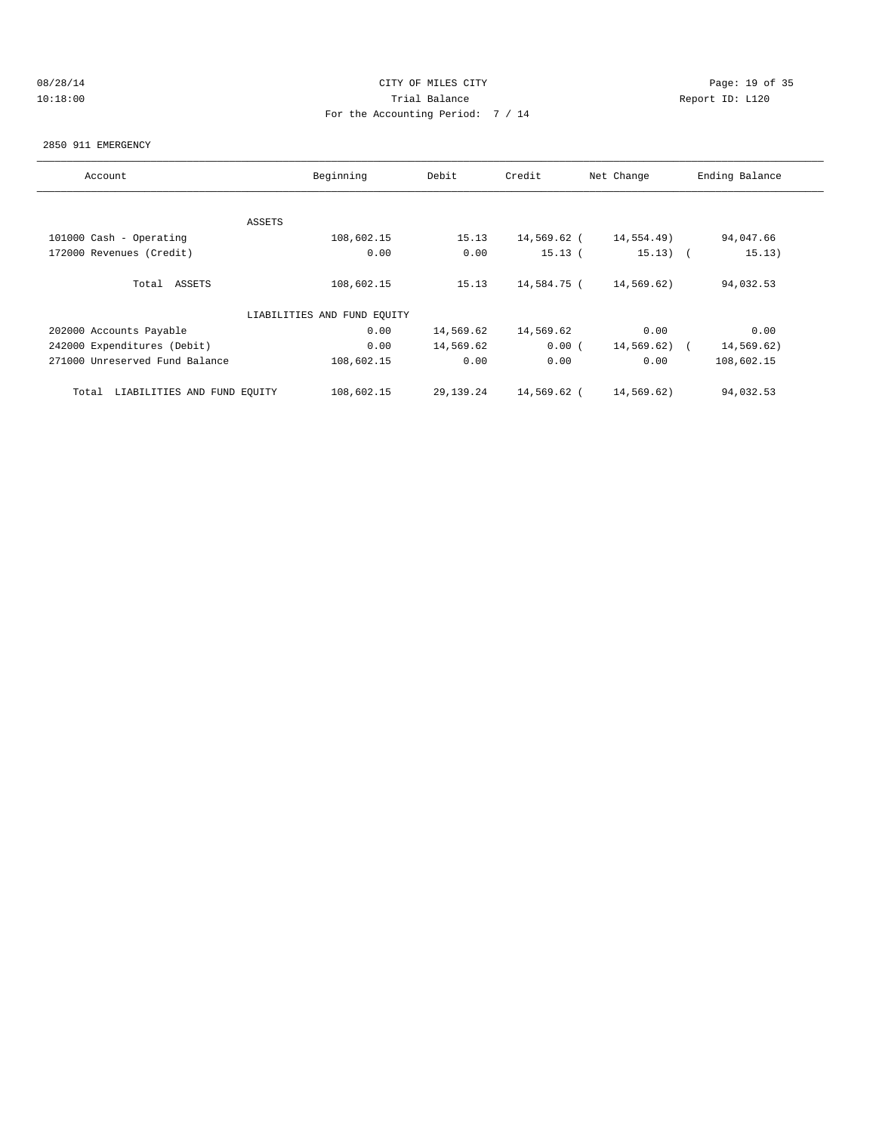## 08/28/14 Page: 19 of 35 10:18:00 Trial Balance Report ID: L120 For the Accounting Period: 7 / 14

#### 2850 911 EMERGENCY

| Account                              | Beginning                   | Debit     | Credit      | Net Change | Ending Balance |
|--------------------------------------|-----------------------------|-----------|-------------|------------|----------------|
|                                      |                             |           |             |            |                |
|                                      | ASSETS                      |           |             |            |                |
| 101000 Cash - Operating              | 108,602.15                  | 15.13     | 14,569.62 ( | 14,554.49) | 94,047.66      |
| 172000 Revenues (Credit)             | 0.00                        | 0.00      | 15.13(      | $15.13)$ ( | 15.13)         |
| Total ASSETS                         | 108,602.15                  | 15.13     | 14,584.75 ( | 14,569.62) | 94,032.53      |
|                                      | LIABILITIES AND FUND EQUITY |           |             |            |                |
| 202000 Accounts Payable              | 0.00                        | 14,569.62 | 14,569.62   | 0.00       | 0.00           |
| 242000 Expenditures (Debit)          | 0.00                        | 14,569.62 | 0.00(       | 14,569.62) | 14,569.62)     |
| 271000 Unreserved Fund Balance       | 108,602.15                  | 0.00      | 0.00        | 0.00       | 108,602.15     |
| LIABILITIES AND FUND EQUITY<br>Total | 108,602.15                  | 29,139.24 | 14,569.62 ( | 14,569.62) | 94,032.53      |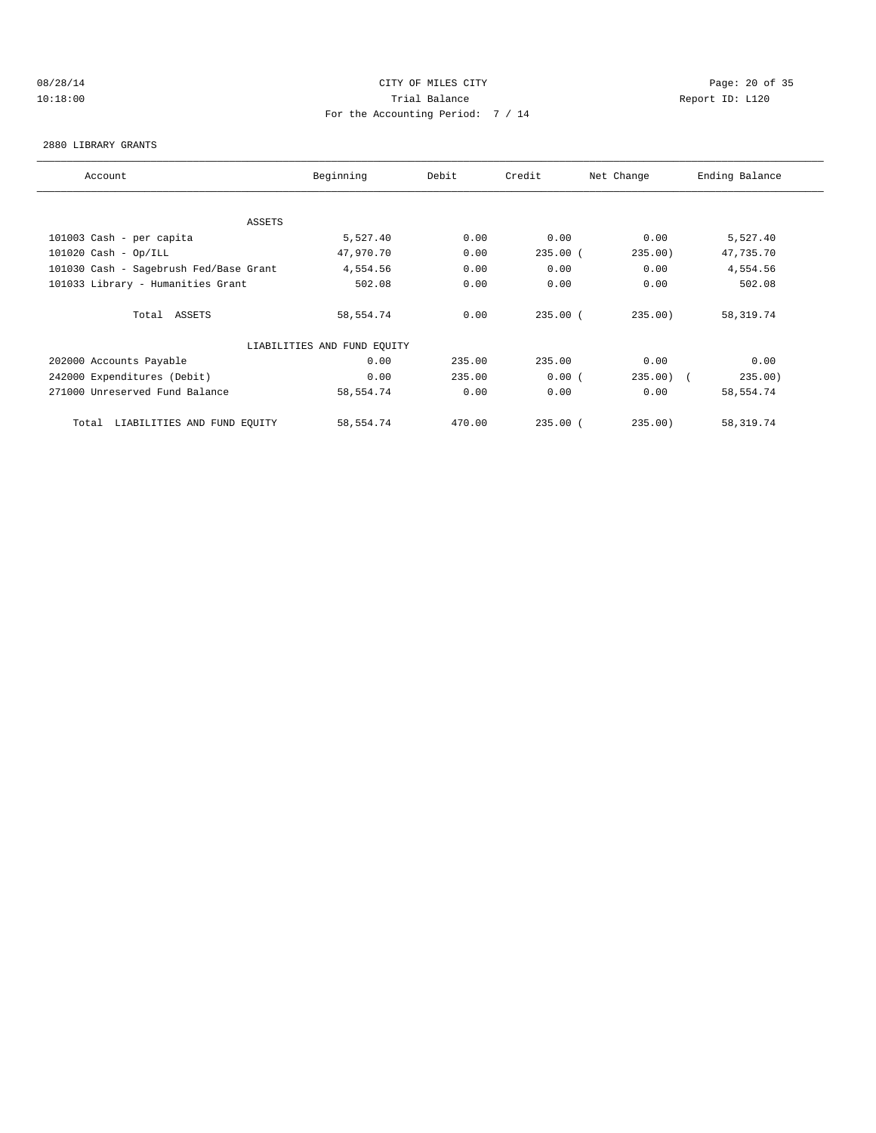## 08/28/14 Page: 20 of 35 10:18:00 Trial Balance Report ID: L120 For the Accounting Period: 7 / 14

#### 2880 LIBRARY GRANTS

| Account                                | Beginning                   | Debit  | Credit       | Net Change | Ending Balance |
|----------------------------------------|-----------------------------|--------|--------------|------------|----------------|
|                                        |                             |        |              |            |                |
| ASSETS                                 |                             |        |              |            |                |
| 101003 Cash - per capita               | 5,527.40                    | 0.00   | 0.00         | 0.00       | 5,527.40       |
| $101020$ Cash - Op/ILL                 | 47,970.70                   | 0.00   | $235.00$ (   | 235.00)    | 47,735.70      |
| 101030 Cash - Sagebrush Fed/Base Grant | 4,554.56                    | 0.00   | 0.00         | 0.00       | 4,554.56       |
| 101033 Library - Humanities Grant      | 502.08                      | 0.00   | 0.00         | 0.00       | 502.08         |
| Total ASSETS                           | 58,554.74                   | 0.00   | $235.00$ (   | 235.00)    | 58,319.74      |
|                                        | LIABILITIES AND FUND EQUITY |        |              |            |                |
| 202000 Accounts Payable                | 0.00                        | 235.00 | 235.00       | 0.00       | 0.00           |
| 242000 Expenditures (Debit)            | 0.00                        | 235.00 | 0.00(        | $235.00$ ( | 235.00)        |
| 271000 Unreserved Fund Balance         | 58,554.74                   | 0.00   | 0.00         | 0.00       | 58,554.74      |
| LIABILITIES AND FUND EQUITY<br>Total   | 58,554.74                   | 470.00 | $235.00$ $($ | 235.00     | 58,319.74      |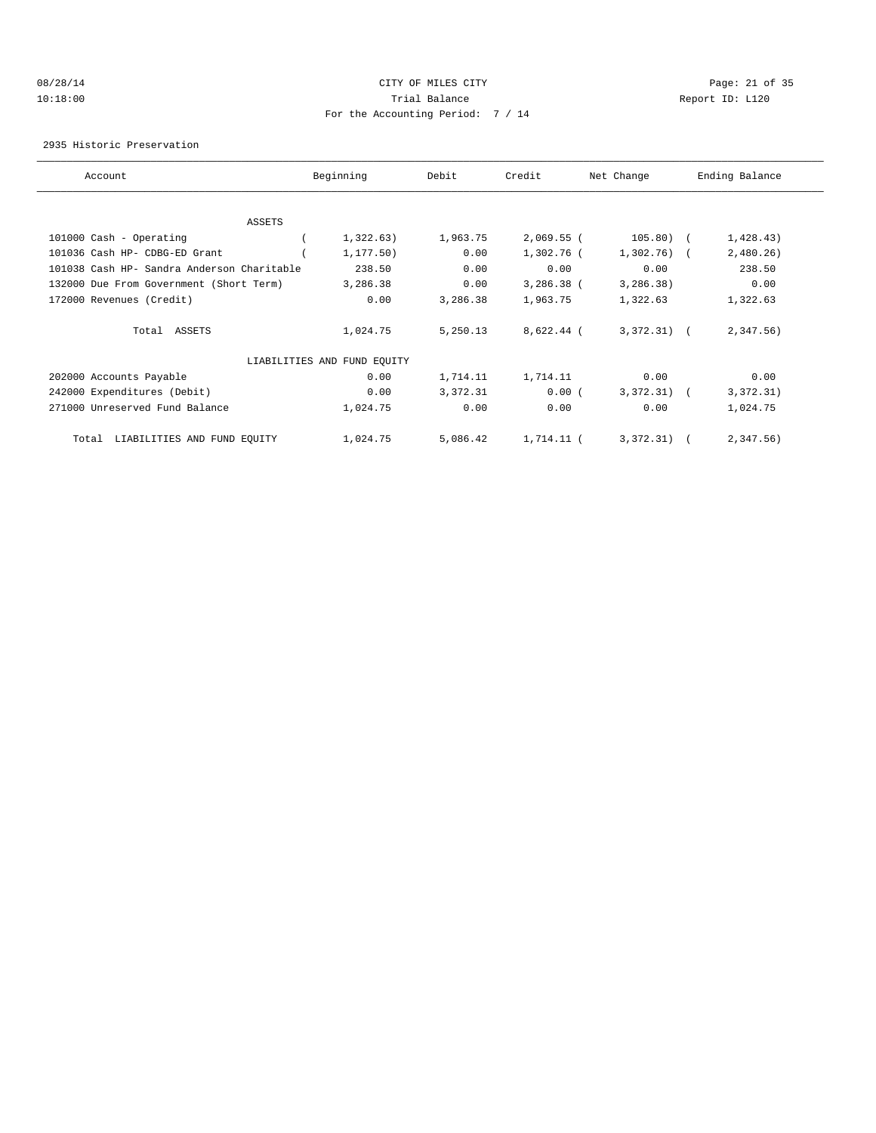## 08/28/14 Page: 21 of 35 10:18:00 Trial Balance Report ID: L120 For the Accounting Period: 7 / 14

2935 Historic Preservation

| Account                                    | Beginning                   | Debit    | Credit       | Net Change   | Ending Balance |
|--------------------------------------------|-----------------------------|----------|--------------|--------------|----------------|
|                                            |                             |          |              |              |                |
| ASSETS                                     |                             |          |              |              |                |
| 101000 Cash - Operating                    | 1,322.63)                   | 1,963.75 | $2,069.55$ ( | $105.80)$ (  | 1,428.43)      |
| 101036 Cash HP- CDBG-ED Grant              | 1, 177.50)                  | 0.00     | 1,302.76 (   | 1,302.76)    | 2,480.26)      |
| 101038 Cash HP- Sandra Anderson Charitable | 238.50                      | 0.00     | 0.00         | 0.00         | 238.50         |
| 132000 Due From Government (Short Term)    | 3,286.38                    | 0.00     | $3,286.38$ ( | 3,286.38)    | 0.00           |
| 172000 Revenues (Credit)                   | 0.00                        | 3,286.38 | 1,963.75     | 1,322.63     | 1,322.63       |
| Total ASSETS                               | 1,024.75                    | 5,250.13 | 8,622.44 (   | $3,372,31$ ( | $2,347.56$ )   |
|                                            | LIABILITIES AND FUND EQUITY |          |              |              |                |
| 202000 Accounts Payable                    | 0.00                        | 1,714.11 | 1,714.11     | 0.00         | 0.00           |
| 242000 Expenditures (Debit)                | 0.00                        | 3,372.31 | 0.00(        | 3,372.31)    | 3,372.31)      |
| 271000 Unreserved Fund Balance             | 1,024.75                    | 0.00     | 0.00         | 0.00         | 1,024.75       |
| LIABILITIES AND FUND EQUITY<br>Total       | 1,024.75                    | 5,086.42 | 1,714.11 (   | 3,372,31)    | 2,347.56)      |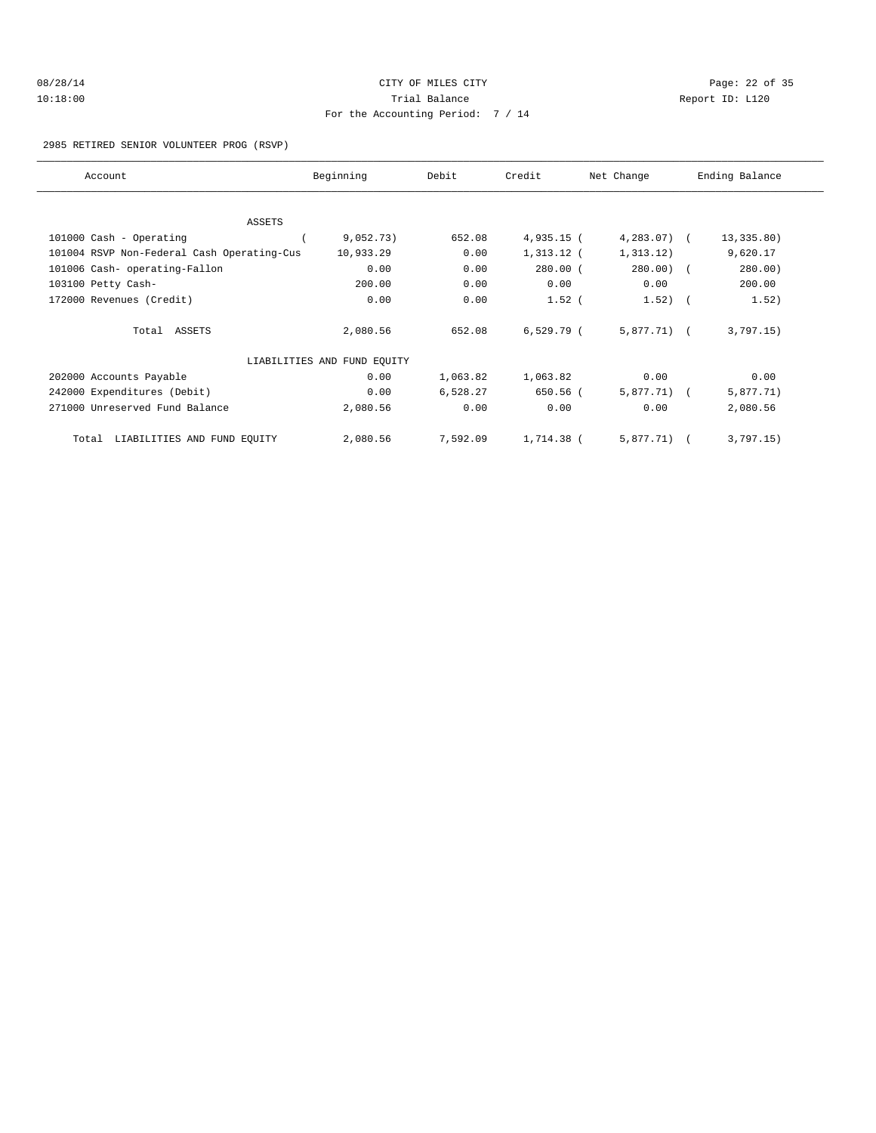| 08/28/14 |  |
|----------|--|
| 10:18:00 |  |

## CITY OF MILES CITY CONTROL CONTROL CONTROL CONTROL CONTROL PAGE: 22 of 35 10: 1120 Trial Balance Communications of the Report ID: L120 For the Accounting Period: 7 / 14

#### 2985 RETIRED SENIOR VOLUNTEER PROG (RSVP)

| Account                                    | Beginning                   | Debit    | Credit       | Net Change    | Ending Balance |
|--------------------------------------------|-----------------------------|----------|--------------|---------------|----------------|
|                                            |                             |          |              |               |                |
| ASSETS                                     |                             |          |              |               |                |
| 101000 Cash - Operating                    | 9,052.73)                   | 652.08   | $4,935.15$ ( | $4,283.07$ (  | 13,335.80)     |
| 101004 RSVP Non-Federal Cash Operating-Cus | 10,933.29                   | 0.00     | $1,313.12$ ( | 1, 313.12)    | 9,620.17       |
| 101006 Cash- operating-Fallon              | 0.00                        | 0.00     | $280.00$ (   | 280.00) (     | 280.00)        |
| 103100 Petty Cash-                         | 200.00                      | 0.00     | 0.00         | 0.00          | 200.00         |
| 172000 Revenues (Credit)                   | 0.00                        | 0.00     | $1.52$ (     | $1.52)$ (     | 1.52)          |
| Total ASSETS                               | 2,080.56                    | 652.08   | $6,529.79$ ( | $5,877.71)$ ( | 3,797.15)      |
|                                            | LIABILITIES AND FUND EQUITY |          |              |               |                |
| 202000 Accounts Payable                    | 0.00                        | 1,063.82 | 1,063.82     | 0.00          | 0.00           |
| 242000 Expenditures (Debit)                | 0.00                        | 6,528.27 | 650.56 (     | $5,877.71)$ ( | 5,877.71)      |
| 271000 Unreserved Fund Balance             | 2,080.56                    | 0.00     | 0.00         | 0.00          | 2,080.56       |
| LIABILITIES AND FUND EQUITY<br>Total       | 2,080.56                    | 7,592.09 | 1,714.38 (   | 5,877.71)     | 3,797.15)      |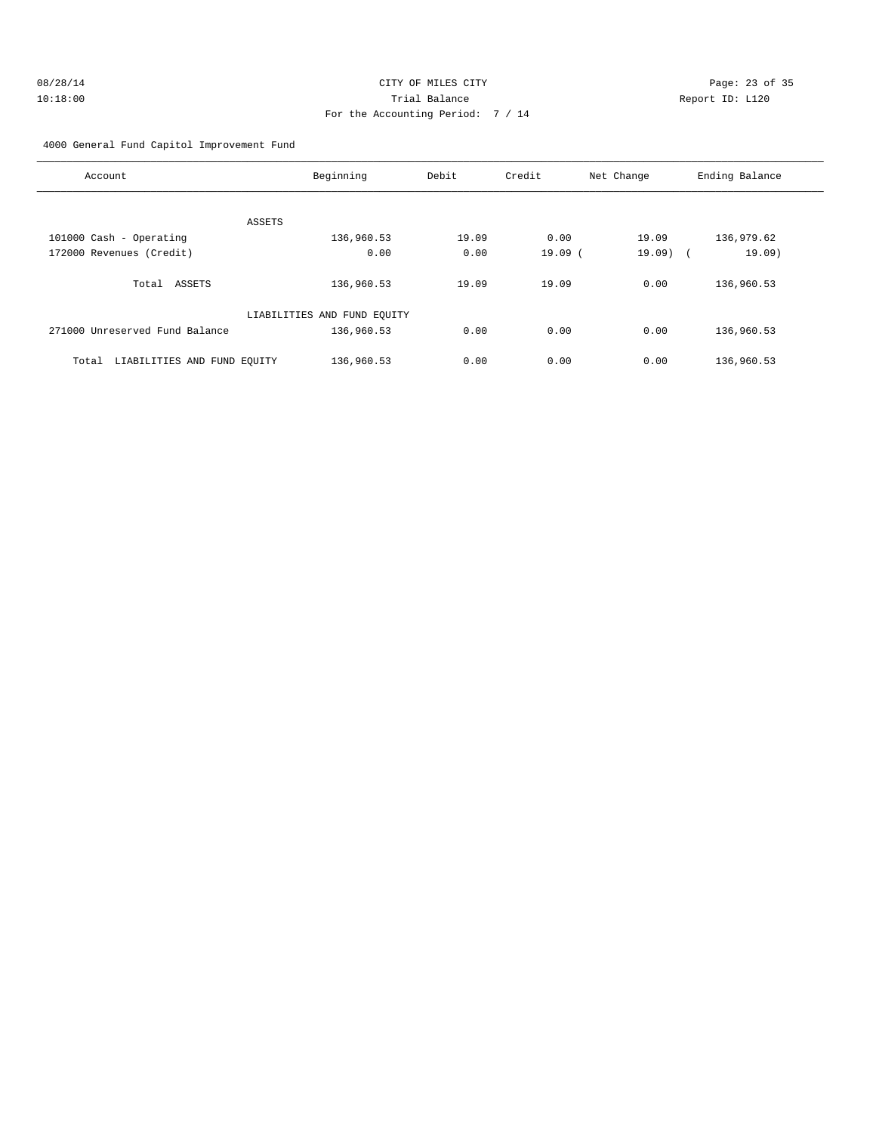# 4000 General Fund Capitol Improvement Fund

| Account                              | Beginning                   | Debit | Credit | Net Change | Ending Balance       |
|--------------------------------------|-----------------------------|-------|--------|------------|----------------------|
| ASSETS                               |                             |       |        |            |                      |
| 101000 Cash - Operating              | 136,960.53                  | 19.09 | 0.00   | 19.09      | 136,979.62           |
| 172000 Revenues (Credit)             | 0.00                        | 0.00  | 19.09( | 19.09)     | 19.09)<br>$\sqrt{2}$ |
| Total<br>ASSETS                      | 136,960.53                  | 19.09 | 19.09  | 0.00       | 136,960.53           |
|                                      | LIABILITIES AND FUND EQUITY |       |        |            |                      |
| 271000 Unreserved Fund Balance       | 136,960.53                  | 0.00  | 0.00   | 0.00       | 136,960.53           |
| LIABILITIES AND FUND EQUITY<br>Total | 136,960.53                  | 0.00  | 0.00   | 0.00       | 136,960.53           |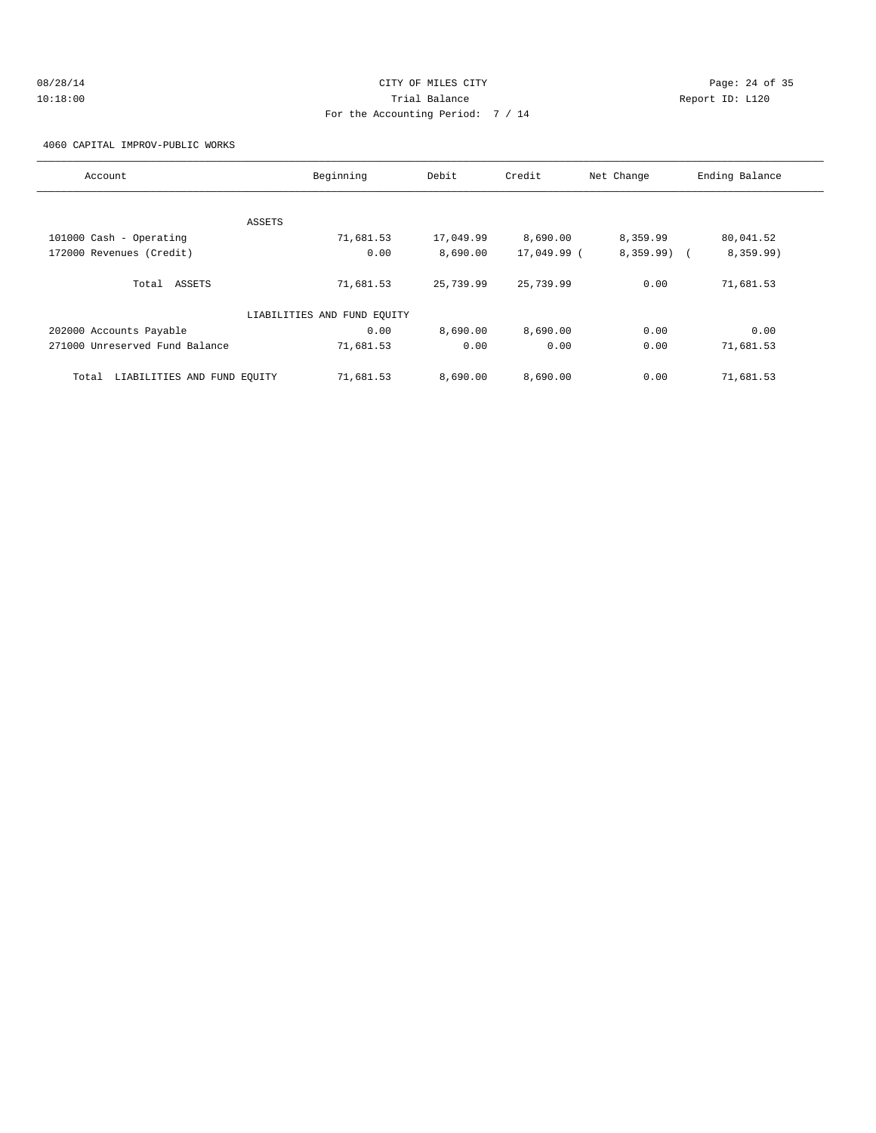## 08/28/14 Page: 24 of 35 10:18:00 Trial Balance Report ID: L120 For the Accounting Period: 7 / 14

4060 CAPITAL IMPROV-PUBLIC WORKS

| Account                              | Beginning                   | Debit     | Credit      | Net Change | Ending Balance |
|--------------------------------------|-----------------------------|-----------|-------------|------------|----------------|
|                                      |                             |           |             |            |                |
|                                      | ASSETS                      |           |             |            |                |
| 101000 Cash - Operating              | 71,681.53                   | 17,049.99 | 8,690.00    | 8,359.99   | 80,041.52      |
| 172000 Revenues (Credit)             | 0.00                        | 8,690.00  | 17,049.99 ( | 8,359.99)  | 8,359.99)      |
|                                      |                             |           |             |            |                |
| Total ASSETS                         | 71,681.53                   | 25,739.99 | 25,739.99   | 0.00       | 71,681.53      |
|                                      |                             |           |             |            |                |
|                                      | LIABILITIES AND FUND EQUITY |           |             |            |                |
| 202000 Accounts Payable              | 0.00                        | 8,690.00  | 8,690.00    | 0.00       | 0.00           |
| 271000 Unreserved Fund Balance       | 71,681.53                   | 0.00      | 0.00        | 0.00       | 71,681.53      |
|                                      |                             |           |             |            |                |
| LIABILITIES AND FUND EQUITY<br>Total | 71,681.53                   | 8.690.00  | 8,690.00    | 0.00       | 71,681.53      |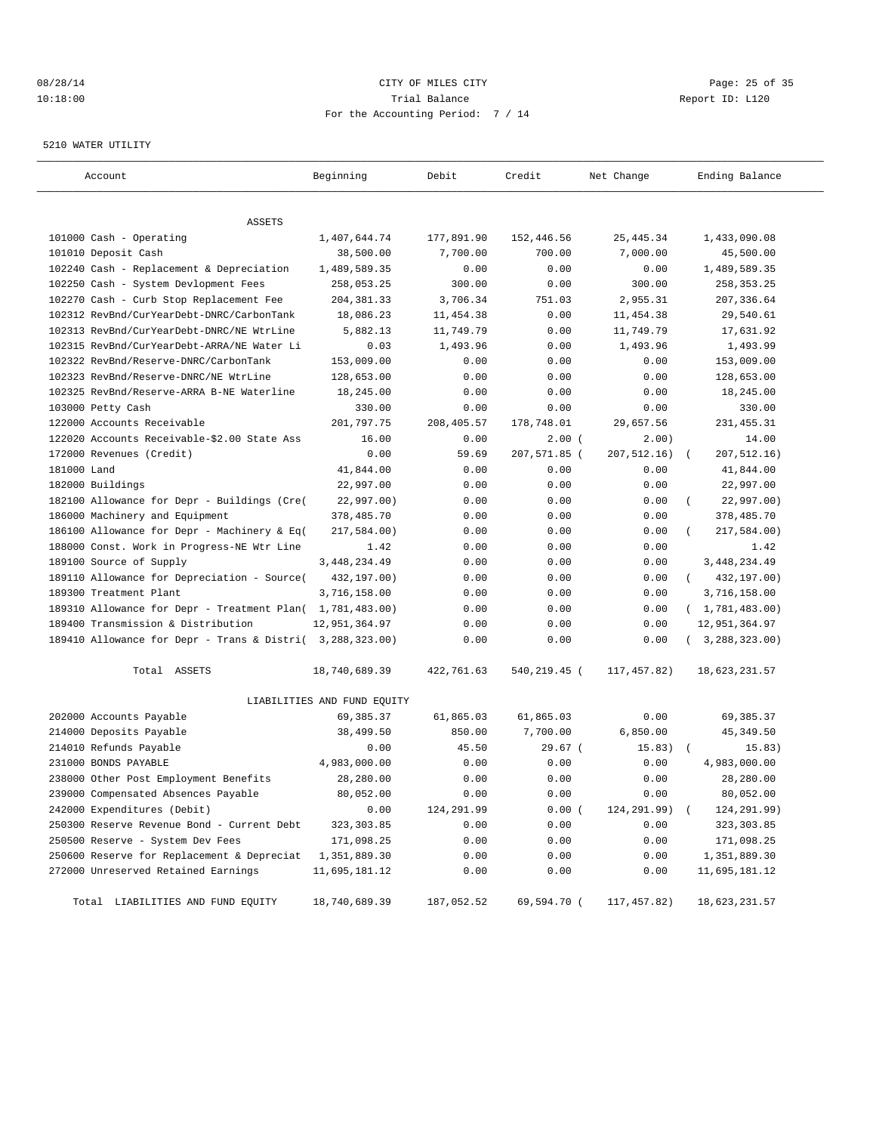## 08/28/14 Page: 25 of 35 10:18:00 Trial Balance Report ID: L120 For the Accounting Period: 7 / 14

#### 5210 WATER UTILITY

| Account                                                   | Beginning                   | Debit      | Credit       | Net Change    | Ending Balance          |
|-----------------------------------------------------------|-----------------------------|------------|--------------|---------------|-------------------------|
|                                                           |                             |            |              |               |                         |
| ASSETS                                                    |                             |            |              |               |                         |
| 101000 Cash - Operating                                   | 1,407,644.74                | 177,891.90 | 152,446.56   | 25, 445.34    | 1,433,090.08            |
| 101010 Deposit Cash                                       | 38,500.00                   | 7,700.00   | 700.00       | 7,000.00      | 45,500.00               |
| 102240 Cash - Replacement & Depreciation                  | 1,489,589.35                | 0.00       | 0.00         | 0.00          | 1,489,589.35            |
| 102250 Cash - System Devlopment Fees                      | 258,053.25                  | 300.00     | 0.00         | 300.00        | 258, 353. 25            |
| 102270 Cash - Curb Stop Replacement Fee                   | 204, 381.33                 | 3,706.34   | 751.03       | 2,955.31      | 207,336.64              |
| 102312 RevBnd/CurYearDebt-DNRC/CarbonTank                 | 18,086.23                   | 11,454.38  | 0.00         | 11,454.38     | 29,540.61               |
| 102313 RevBnd/CurYearDebt-DNRC/NE WtrLine                 | 5,882.13                    | 11,749.79  | 0.00         | 11,749.79     | 17,631.92               |
| 102315 RevBnd/CurYearDebt-ARRA/NE Water Li                | 0.03                        | 1,493.96   | 0.00         | 1,493.96      | 1,493.99                |
| 102322 RevBnd/Reserve-DNRC/CarbonTank                     | 153,009.00                  | 0.00       | 0.00         | 0.00          | 153,009.00              |
| 102323 RevBnd/Reserve-DNRC/NE WtrLine                     | 128,653.00                  | 0.00       | 0.00         | 0.00          | 128,653.00              |
| 102325 RevBnd/Reserve-ARRA B-NE Waterline                 | 18,245.00                   | 0.00       | 0.00         | 0.00          | 18,245.00               |
| 103000 Petty Cash                                         | 330.00                      | 0.00       | 0.00         | 0.00          | 330.00                  |
| 122000 Accounts Receivable                                | 201,797.75                  | 208,405.57 | 178,748.01   | 29,657.56     | 231, 455.31             |
| 122020 Accounts Receivable-\$2.00 State Ass               | 16.00                       | 0.00       | 2.00(        | 2.00)         | 14.00                   |
| 172000 Revenues (Credit)                                  | 0.00                        | 59.69      | 207,571.85 ( | 207,512.16)   | 207,512.16)<br>$\left($ |
| 181000 Land                                               | 41,844.00                   | 0.00       | 0.00         | 0.00          | 41,844.00               |
| 182000 Buildings                                          | 22,997.00                   | 0.00       | 0.00         | 0.00          | 22,997.00               |
| 182100 Allowance for Depr - Buildings (Cre(               | 22,997.00)                  | 0.00       | 0.00         | 0.00          | 22,997.00)              |
| 186000 Machinery and Equipment                            | 378,485.70                  | 0.00       | 0.00         | 0.00          | 378,485.70              |
| 186100 Allowance for Depr - Machinery & Eq(               | 217,584.00)                 | 0.00       | 0.00         | 0.00          | 217,584.00)             |
| 188000 Const. Work in Progress-NE Wtr Line                | 1.42                        | 0.00       | 0.00         | 0.00          | 1.42                    |
| 189100 Source of Supply                                   | 3, 448, 234.49              | 0.00       | 0.00         | 0.00          | 3, 448, 234.49          |
| 189110 Allowance for Depreciation - Source(               | 432,197.00)                 | 0.00       | 0.00         | 0.00          | 432,197.00)<br>$\left($ |
| 189300 Treatment Plant                                    | 3,716,158.00                | 0.00       | 0.00         | 0.00          | 3,716,158.00            |
| 189310 Allowance for Depr - Treatment Plan( 1,781,483.00) |                             | 0.00       | 0.00         | 0.00          | (1, 781, 483.00)        |
| 189400 Transmission & Distribution                        | 12,951,364.97               | 0.00       | 0.00         | 0.00          | 12,951,364.97           |
| 189410 Allowance for Depr - Trans & Distri( 3,288,323.00) |                             | 0.00       | 0.00         | 0.00          | (3, 288, 323.00)        |
| Total ASSETS                                              | 18,740,689.39               | 422,761.63 | 540,219.45 ( | 117,457.82)   | 18,623,231.57           |
|                                                           | LIABILITIES AND FUND EQUITY |            |              |               |                         |
| 202000 Accounts Payable                                   | 69,385.37                   | 61,865.03  | 61,865.03    | 0.00          | 69,385.37               |
| 214000 Deposits Payable                                   | 38,499.50                   | 850.00     | 7,700.00     | 6,850.00      | 45, 349.50              |
| 214010 Refunds Payable                                    | 0.00                        | 45.50      | $29.67$ $($  | $15.83)$ (    | 15.83)                  |
| 231000 BONDS PAYABLE                                      | 4,983,000.00                | 0.00       | 0.00         | 0.00          | 4,983,000.00            |
| 238000 Other Post Employment Benefits                     | 28,280.00                   | 0.00       | 0.00         | 0.00          | 28,280.00               |
| 239000 Compensated Absences Payable                       | 80,052.00                   | 0.00       | 0.00         | 0.00          | 80,052.00               |
| 242000 Expenditures (Debit)                               | 0.00                        | 124,291.99 | 0.00(        | 124,291.99) ( | 124,291.99)             |
| 250300 Reserve Revenue Bond - Current Debt                | 323, 303.85                 | 0.00       | 0.00         | 0.00          | 323,303.85              |
| 250500 Reserve - System Dev Fees                          | 171,098.25                  | 0.00       | 0.00         | 0.00          | 171,098.25              |
| 250600 Reserve for Replacement & Depreciat                | 1,351,889.30                | 0.00       | 0.00         | 0.00          | 1,351,889.30            |
| 272000 Unreserved Retained Earnings                       | 11,695,181.12               | 0.00       | 0.00         | 0.00          | 11,695,181.12           |
| Total LIABILITIES AND FUND EQUITY                         | 18,740,689.39               | 187,052.52 | 69,594.70 (  | 117,457.82)   | 18,623,231.57           |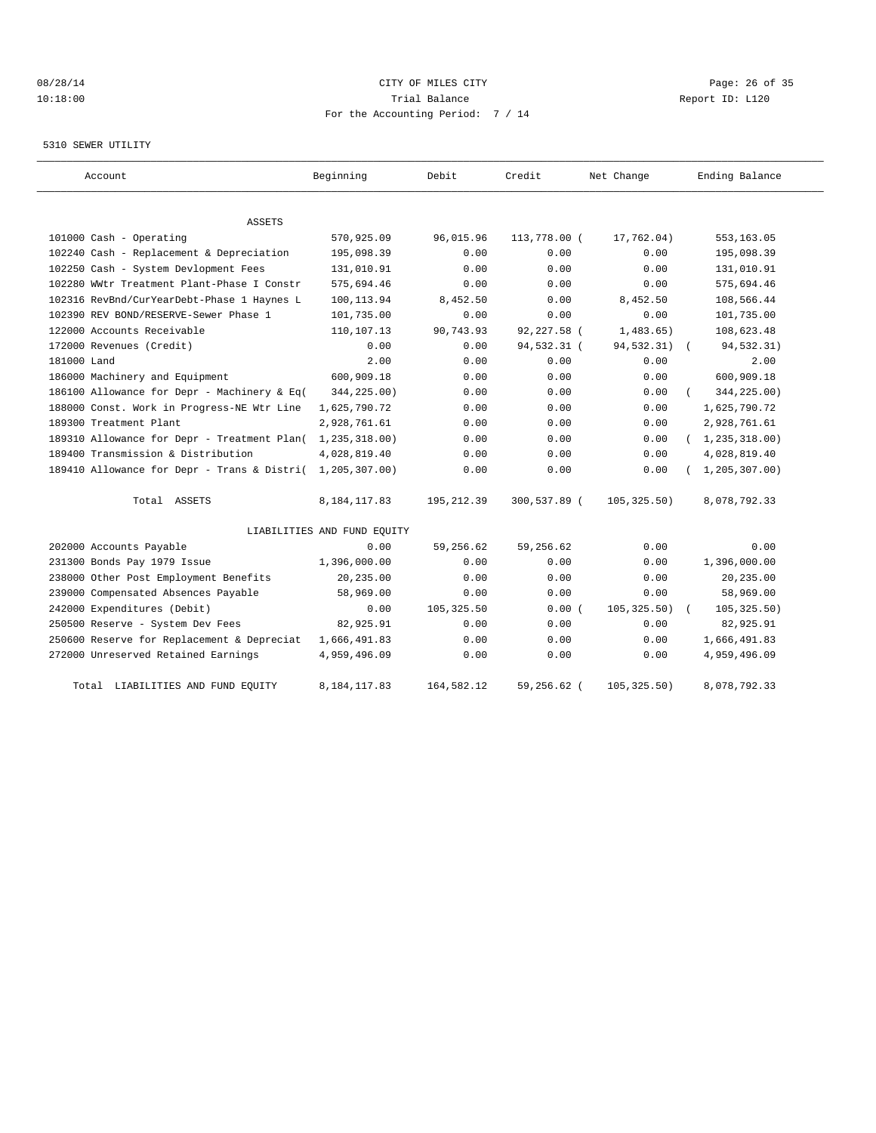## 08/28/14 Page: 26 of 35 10:18:00 Trial Balance Report ID: L120 For the Accounting Period: 7 / 14

#### 5310 SEWER UTILITY

| Account                                     | Beginning                   | Debit       | Credit       | Net Change   | Ending Balance   |
|---------------------------------------------|-----------------------------|-------------|--------------|--------------|------------------|
|                                             |                             |             |              |              |                  |
| ASSETS                                      |                             |             |              |              |                  |
| 101000 Cash - Operating                     | 570,925.09                  | 96,015.96   | 113,778.00 ( | 17,762.04)   | 553, 163.05      |
| 102240 Cash - Replacement & Depreciation    | 195,098.39                  | 0.00        | 0.00         | 0.00         | 195,098.39       |
| 102250 Cash - System Devlopment Fees        | 131,010.91                  | 0.00        | 0.00         | 0.00         | 131,010.91       |
| 102280 WWtr Treatment Plant-Phase I Constr  | 575,694.46                  | 0.00        | 0.00         | 0.00         | 575,694.46       |
| 102316 RevBnd/CurYearDebt-Phase 1 Haynes L  | 100, 113.94                 | 8,452.50    | 0.00         | 8,452.50     | 108,566.44       |
| 102390 REV BOND/RESERVE-Sewer Phase 1       | 101,735.00                  | 0.00        | 0.00         | 0.00         | 101,735.00       |
| 122000 Accounts Receivable                  | 110,107.13                  | 90,743.93   | 92,227.58 (  | 1,483.65)    | 108,623.48       |
| 172000 Revenues (Credit)                    | 0.00                        | 0.00        | 94,532.31 (  | 94,532.31)   | 94,532.31)       |
| 181000 Land                                 | 2.00                        | 0.00        | 0.00         | 0.00         | 2.00             |
| 186000 Machinery and Equipment              | 600,909.18                  | 0.00        | 0.00         | 0.00         | 600,909.18       |
| 186100 Allowance for Depr - Machinery & Eq( | 344,225.00)                 | 0.00        | 0.00         | 0.00         | 344,225.00)      |
| 188000 Const. Work in Progress-NE Wtr Line  | 1,625,790.72                | 0.00        | 0.00         | 0.00         | 1,625,790.72     |
| 189300 Treatment Plant                      | 2,928,761.61                | 0.00        | 0.00         | 0.00         | 2,928,761.61     |
| 189310 Allowance for Depr - Treatment Plan( | 1, 235, 318.00)             | 0.00        | 0.00         | 0.00         | (1, 235, 318.00) |
| 189400 Transmission & Distribution          | 4,028,819.40                | 0.00        | 0.00         | 0.00         | 4,028,819.40     |
| 189410 Allowance for Depr - Trans & Distri( | 1,205,307.00)               | 0.00        | 0.00         | 0.00         | 1, 205, 307, 00) |
| Total ASSETS                                | 8, 184, 117.83              | 195, 212.39 | 300,537.89 ( | 105, 325.50) | 8,078,792.33     |
|                                             | LIABILITIES AND FUND EQUITY |             |              |              |                  |
| 202000 Accounts Payable                     | 0.00                        | 59,256.62   | 59,256.62    | 0.00         | 0.00             |
| 231300 Bonds Pay 1979 Issue                 | 1,396,000.00                | 0.00        | 0.00         | 0.00         | 1,396,000.00     |
| 238000 Other Post Employment Benefits       | 20,235.00                   | 0.00        | 0.00         | 0.00         | 20,235.00        |
| 239000 Compensated Absences Payable         | 58,969.00                   | 0.00        | 0.00         | 0.00         | 58,969.00        |
| 242000 Expenditures (Debit)                 | 0.00                        | 105, 325.50 | 0.00(        | 105, 325.50) | 105, 325.50)     |
| 250500 Reserve - System Dev Fees            | 82,925.91                   | 0.00        | 0.00         | 0.00         | 82,925.91        |
| 250600 Reserve for Replacement & Depreciat  | 1,666,491.83                | 0.00        | 0.00         | 0.00         | 1,666,491.83     |
| 272000 Unreserved Retained Earnings         | 4,959,496.09                | 0.00        | 0.00         | 0.00         | 4,959,496.09     |
| Total LIABILITIES AND FUND EQUITY           | 8,184,117.83                | 164,582.12  | 59,256.62 (  | 105, 325.50) | 8,078,792.33     |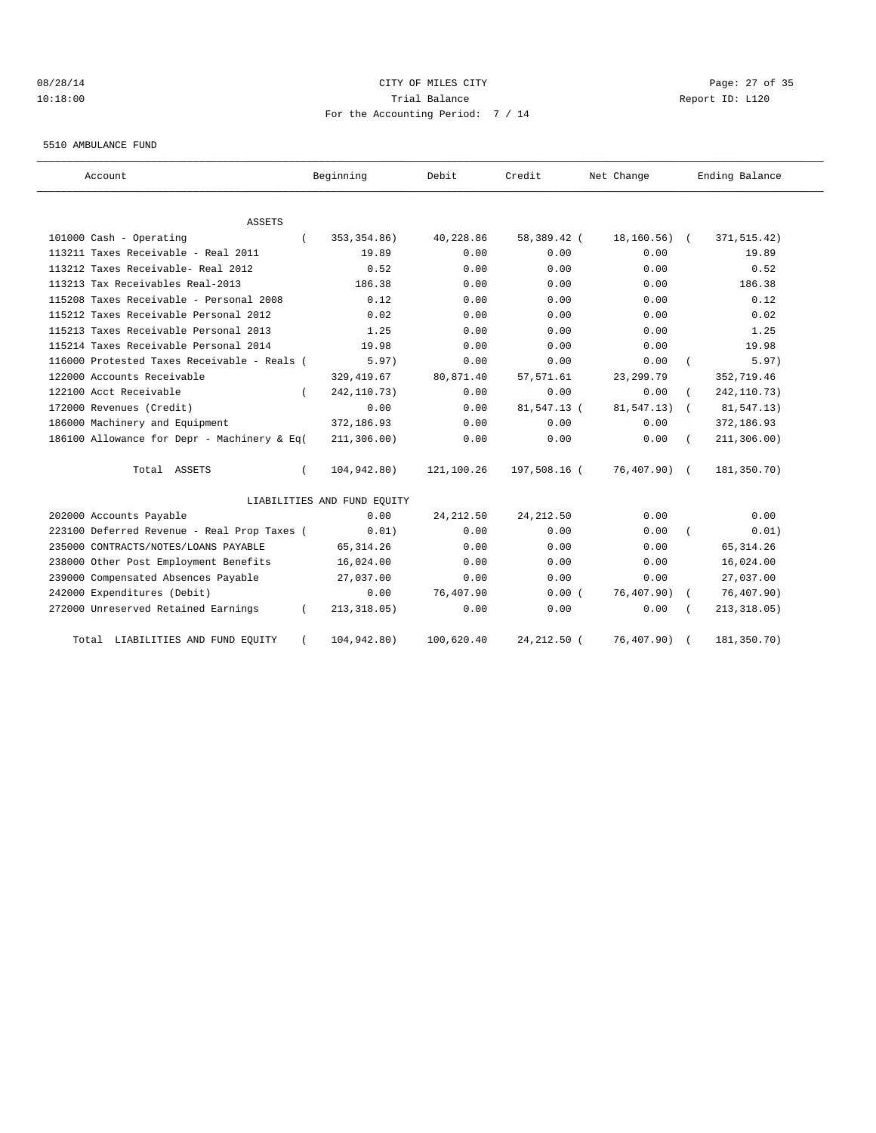## 08/28/14 Page: 27 of 35 10:18:00 Trial Balance Report ID: L120 For the Accounting Period: 7 / 14

5510 AMBULANCE FUND

| Account                                     | Beginning                   | Debit      | Credit       | Net Change     | Ending Balance           |
|---------------------------------------------|-----------------------------|------------|--------------|----------------|--------------------------|
| <b>ASSETS</b>                               |                             |            |              |                |                          |
| 101000 Cash - Operating                     | 353, 354.86)                | 40,228.86  | 58,389.42 (  | $18, 160.56$ ( | 371, 515.42)             |
| 113211 Taxes Receivable - Real 2011         | 19.89                       | 0.00       | 0.00         | 0.00           | 19.89                    |
| 113212 Taxes Receivable- Real 2012          | 0.52                        | 0.00       | 0.00         | 0.00           | 0.52                     |
| 113213 Tax Receivables Real-2013            | 186.38                      | 0.00       | 0.00         | 0.00           | 186.38                   |
| 115208 Taxes Receivable - Personal 2008     | 0.12                        | 0.00       | 0.00         | 0.00           | 0.12                     |
| 115212 Taxes Receivable Personal 2012       | 0.02                        | 0.00       | 0.00         | 0.00           | 0.02                     |
| 115213 Taxes Receivable Personal 2013       | 1.25                        | 0.00       | 0.00         | 0.00           | 1.25                     |
| 115214 Taxes Receivable Personal 2014       | 19.98                       | 0.00       | 0.00         | 0.00           | 19.98                    |
| 116000 Protested Taxes Receivable - Reals ( | 5.97)                       | 0.00       | 0.00         | 0.00           | 5.97)                    |
| 122000 Accounts Receivable                  | 329, 419.67                 | 80,871.40  | 57,571.61    | 23, 299.79     | 352,719.46               |
| 122100 Acct Receivable                      | 242, 110. 73)               | 0.00       | 0.00         | 0.00           | 242, 110.73)             |
| 172000 Revenues (Credit)                    | 0.00                        | 0.00       | 81,547.13 (  | 81,547.13)     | 81,547.13)<br>$\sqrt{2}$ |
| 186000 Machinery and Equipment              | 372,186.93                  | 0.00       | 0.00         | 0.00           | 372,186.93               |
| 186100 Allowance for Depr - Machinery & Eq( | 211, 306.00)                | 0.00       | 0.00         | 0.00           | 211, 306.00)             |
| Total ASSETS                                | 104,942.80)                 | 121,100.26 | 197,508.16 ( | $76,407.90$ (  | 181,350.70)              |
|                                             | LIABILITIES AND FUND EQUITY |            |              |                |                          |
| 202000 Accounts Payable                     | 0.00                        | 24, 212.50 | 24, 212.50   | 0.00           | 0.00                     |
| 223100 Deferred Revenue - Real Prop Taxes ( | 0.01)                       | 0.00       | 0.00         | 0.00           | 0.01)                    |
| 235000 CONTRACTS/NOTES/LOANS PAYABLE        | 65, 314.26                  | 0.00       | 0.00         | 0.00           | 65, 314.26               |
| 238000 Other Post Employment Benefits       | 16,024.00                   | 0.00       | 0.00         | 0.00           | 16,024.00                |
| 239000 Compensated Absences Payable         | 27,037.00                   | 0.00       | 0.00         | 0.00           | 27,037.00                |
| 242000 Expenditures (Debit)                 | 0.00                        | 76,407.90  | 0.00(        | 76,407.90) (   | 76,407.90)               |
| 272000 Unreserved Retained Earnings         | 213, 318.05)                | 0.00       | 0.00         | 0.00           | 213, 318.05)             |
| Total LIABILITIES AND FUND EQUITY           | 104,942.80)                 | 100,620.40 | 24, 212.50 ( | 76, 407.90)    | 181,350.70)              |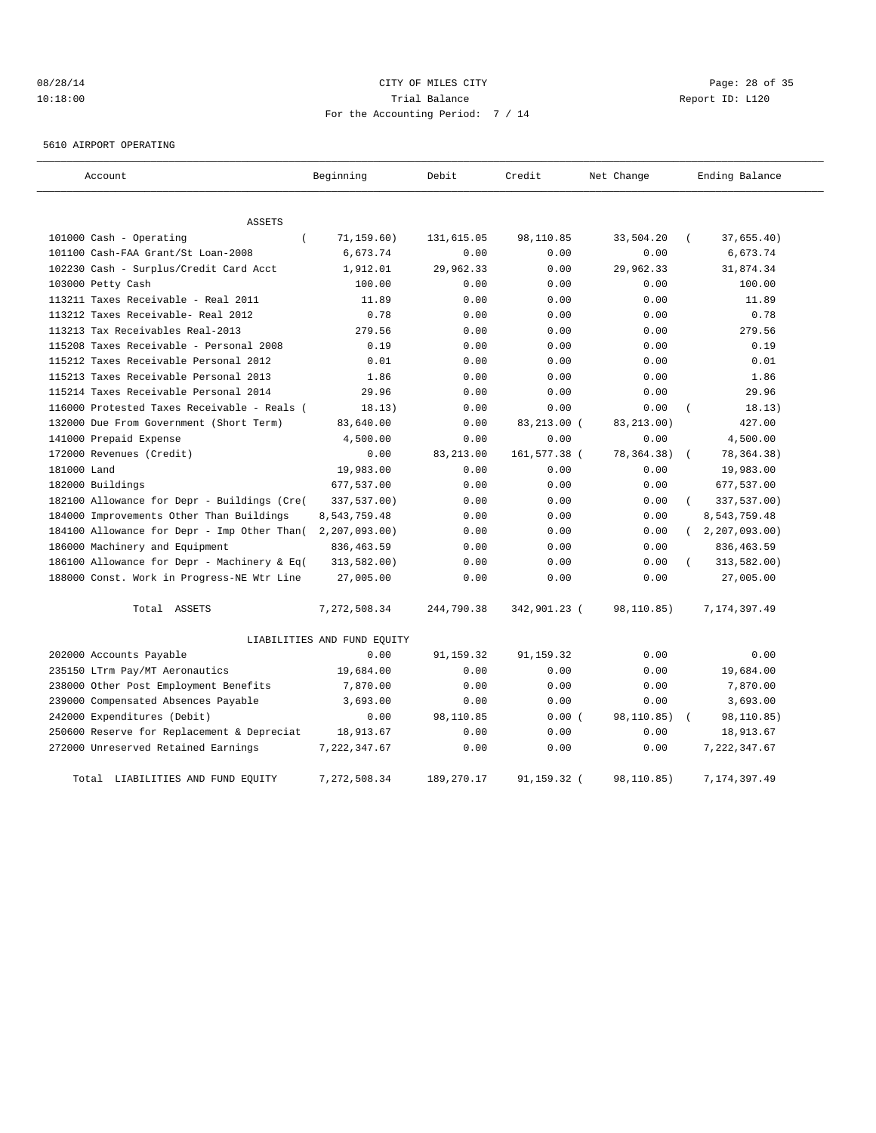## 08/28/14 Page: 28 of 35 10:18:00 Trial Balance Report ID: L120 For the Accounting Period: 7 / 14

5610 AIRPORT OPERATING

| Account                                     | Beginning                   | Debit      | Credit       | Net Change   | Ending Balance             |
|---------------------------------------------|-----------------------------|------------|--------------|--------------|----------------------------|
| ASSETS                                      |                             |            |              |              |                            |
| 101000 Cash - Operating<br>$\overline{ }$   | 71, 159.60)                 | 131,615.05 | 98,110.85    | 33,504.20    | 37,655.40)                 |
| 101100 Cash-FAA Grant/St Loan-2008          | 6,673.74                    | 0.00       | 0.00         | 0.00         | 6,673.74                   |
| 102230 Cash - Surplus/Credit Card Acct      | 1,912.01                    | 29,962.33  | 0.00         | 29,962.33    | 31,874.34                  |
| 103000 Petty Cash                           | 100.00                      | 0.00       | 0.00         | 0.00         | 100.00                     |
| 113211 Taxes Receivable - Real 2011         | 11.89                       | 0.00       | 0.00         | 0.00         | 11.89                      |
| 113212 Taxes Receivable- Real 2012          | 0.78                        | 0.00       | 0.00         | 0.00         | 0.78                       |
| 113213 Tax Receivables Real-2013            | 279.56                      | 0.00       | 0.00         | 0.00         | 279.56                     |
| 115208 Taxes Receivable - Personal 2008     | 0.19                        | 0.00       | 0.00         | 0.00         | 0.19                       |
| 115212 Taxes Receivable Personal 2012       | 0.01                        | 0.00       | 0.00         | 0.00         | 0.01                       |
| 115213 Taxes Receivable Personal 2013       | 1.86                        | 0.00       | 0.00         | 0.00         | 1.86                       |
| 115214 Taxes Receivable Personal 2014       | 29.96                       | 0.00       | 0.00         | 0.00         | 29.96                      |
| 116000 Protested Taxes Receivable - Reals ( | 18.13)                      | 0.00       | 0.00         | 0.00         | 18.13)                     |
| 132000 Due From Government (Short Term)     | 83,640.00                   | 0.00       | 83,213.00 (  | 83, 213.00)  | 427.00                     |
| 141000 Prepaid Expense                      | 4,500.00                    | 0.00       | 0.00         | 0.00         | 4,500.00                   |
| 172000 Revenues (Credit)                    | 0.00                        | 83,213.00  | 161,577.38 ( | 78, 364. 38) | 78, 364. 38)               |
| 181000 Land                                 | 19,983.00                   | 0.00       | 0.00         | 0.00         | 19,983.00                  |
| 182000 Buildings                            | 677,537.00                  | 0.00       | 0.00         | 0.00         | 677,537.00                 |
| 182100 Allowance for Depr - Buildings (Cre( | 337,537.00)                 | 0.00       | 0.00         | 0.00         | 337,537.00)                |
| 184000 Improvements Other Than Buildings    | 8,543,759.48                | 0.00       | 0.00         | 0.00         | 8,543,759.48               |
| 184100 Allowance for Depr - Imp Other Than( | 2, 207, 093.00              | 0.00       | 0.00         | 0.00         | 2, 207, 093.00<br>$\left($ |
| 186000 Machinery and Equipment              | 836, 463.59                 | 0.00       | 0.00         | 0.00         | 836, 463.59                |
| 186100 Allowance for Depr - Machinery & Eq( | 313,582.00)                 | 0.00       | 0.00         | 0.00         | 313,582.00)                |
| 188000 Const. Work in Progress-NE Wtr Line  | 27,005.00                   | 0.00       | 0.00         | 0.00         | 27,005.00                  |
| Total ASSETS                                | 7,272,508.34                | 244,790.38 | 342,901.23 ( | 98,110.85)   | 7, 174, 397.49             |
|                                             | LIABILITIES AND FUND EQUITY |            |              |              |                            |
| 202000 Accounts Payable                     | 0.00                        | 91,159.32  | 91,159.32    | 0.00         | 0.00                       |
| 235150 LTrm Pay/MT Aeronautics              | 19,684.00                   | 0.00       | 0.00         | 0.00         | 19,684.00                  |
| 238000 Other Post Employment Benefits       | 7,870.00                    | 0.00       | 0.00         | 0.00         | 7,870.00                   |
| 239000 Compensated Absences Payable         | 3,693.00                    | 0.00       | 0.00         | 0.00         | 3,693.00                   |
| 242000 Expenditures (Debit)                 | 0.00                        | 98,110.85  | 0.00(        | 98,110.85)   | 98,110.85)                 |
| 250600 Reserve for Replacement & Depreciat  | 18,913.67                   | 0.00       | 0.00         | 0.00         | 18,913.67                  |
| 272000 Unreserved Retained Earnings         | 7,222,347.67                | 0.00       | 0.00         | 0.00         | 7, 222, 347.67             |
| LIABILITIES AND FUND EQUITY<br>Total        | 7,272,508.34                | 189,270.17 | 91,159.32 (  | 98,110.85)   | 7,174,397.49               |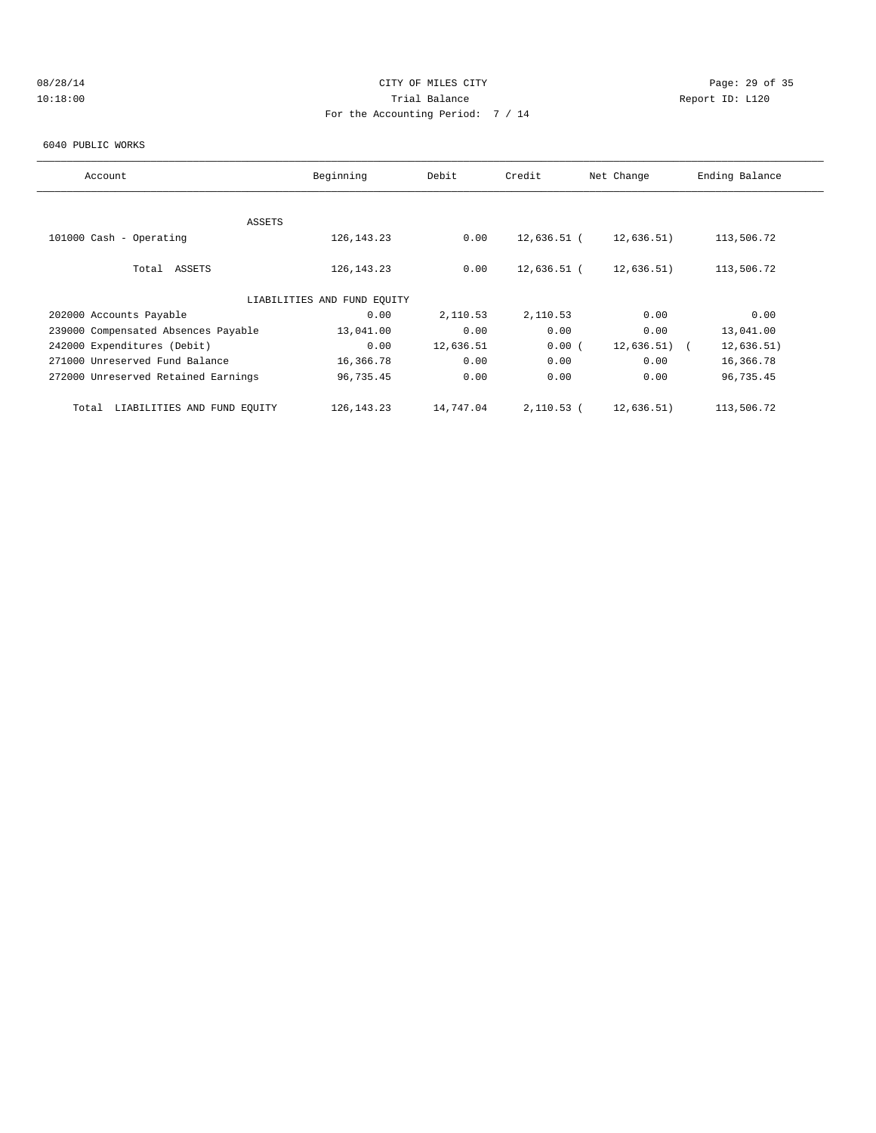## 08/28/14 Page: 29 of 35 10:18:00 Trial Balance Report ID: L120 For the Accounting Period: 7 / 14

#### 6040 PUBLIC WORKS

| Account                              | Beginning                   | Debit     | Credit        | Net Change | Ending Balance |
|--------------------------------------|-----------------------------|-----------|---------------|------------|----------------|
|                                      |                             |           |               |            |                |
| ASSETS                               |                             |           |               |            |                |
| 101000 Cash - Operating              | 126, 143. 23                | 0.00      | 12,636.51 (   | 12,636.51) | 113,506.72     |
|                                      |                             |           |               |            |                |
| Total ASSETS                         | 126, 143. 23                | 0.00      | $12,636.51$ ( | 12,636.51) | 113,506.72     |
|                                      |                             |           |               |            |                |
|                                      | LIABILITIES AND FUND EQUITY |           |               |            |                |
| 202000 Accounts Payable              | 0.00                        | 2,110.53  | 2,110.53      | 0.00       | 0.00           |
| 239000 Compensated Absences Payable  | 13,041.00                   | 0.00      | 0.00          | 0.00       | 13,041.00      |
| 242000 Expenditures (Debit)          | 0.00                        | 12,636.51 | 0.00(         | 12,636.51) | 12,636.51)     |
| 271000 Unreserved Fund Balance       | 16,366.78                   | 0.00      | 0.00          | 0.00       | 16,366.78      |
| 272000 Unreserved Retained Earnings  | 96,735.45                   | 0.00      | 0.00          | 0.00       | 96,735.45      |
|                                      |                             |           |               |            |                |
| LIABILITIES AND FUND EQUITY<br>Total | 126, 143. 23                | 14,747.04 | 2,110.53 (    | 12,636.51) | 113,506.72     |
|                                      |                             |           |               |            |                |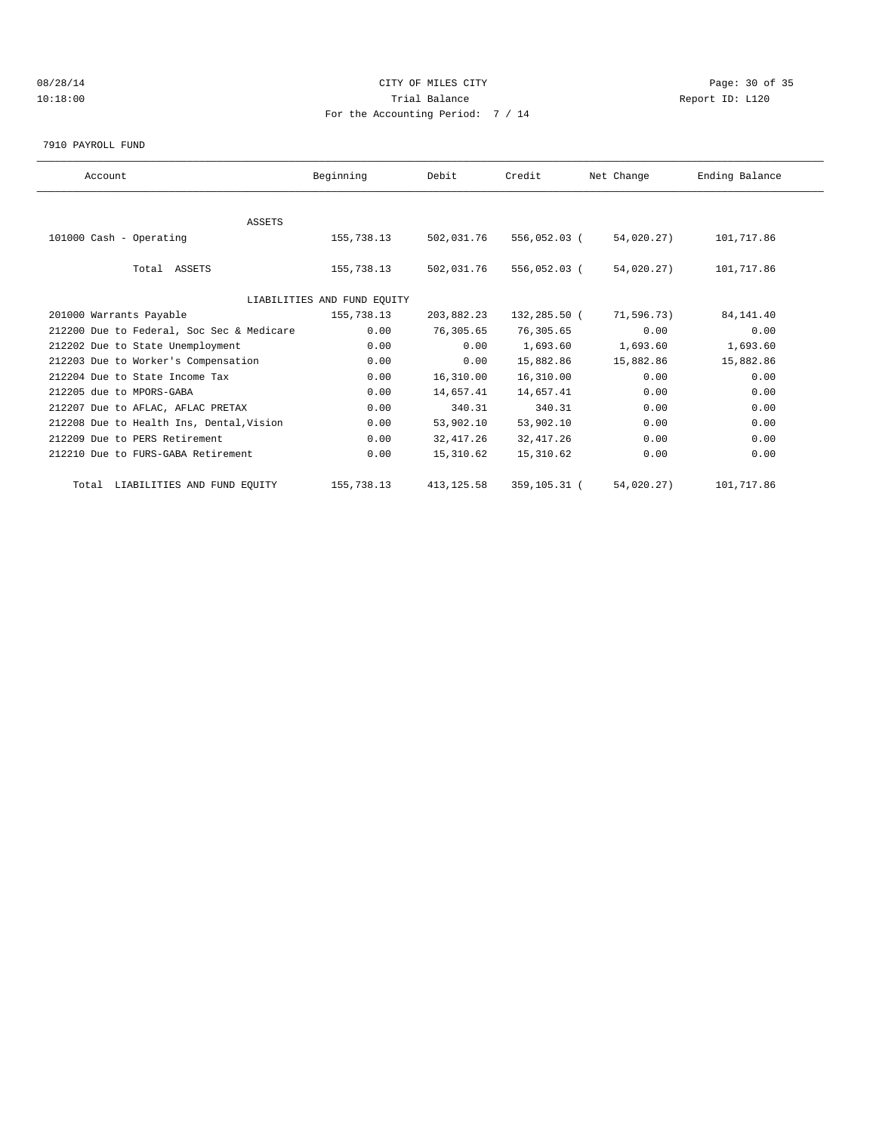## 08/28/14 Page: 30 of 35 10:18:00 Trial Balance Report ID: L120 For the Accounting Period: 7 / 14

7910 PAYROLL FUND

| Account                                   | Beginning                   | Debit       | Credit       | Net Change | Ending Balance |  |
|-------------------------------------------|-----------------------------|-------------|--------------|------------|----------------|--|
|                                           |                             |             |              |            |                |  |
| <b>ASSETS</b>                             |                             |             |              |            |                |  |
| 101000 Cash - Operating                   | 155,738.13                  | 502,031.76  | 556,052.03 ( | 54,020.27) | 101,717.86     |  |
|                                           |                             |             |              |            |                |  |
| Total ASSETS                              | 155,738.13                  | 502,031.76  | 556,052.03 ( | 54,020.27) | 101,717.86     |  |
|                                           |                             |             |              |            |                |  |
|                                           | LIABILITIES AND FUND EQUITY |             |              |            |                |  |
| 201000 Warrants Payable                   | 155,738.13                  | 203,882.23  | 132,285.50 ( | 71,596.73) | 84, 141.40     |  |
| 212200 Due to Federal, Soc Sec & Medicare | 0.00                        | 76,305.65   | 76,305.65    | 0.00       | 0.00           |  |
| 212202 Due to State Unemployment          | 0.00                        | 0.00        | 1,693.60     | 1,693.60   | 1,693.60       |  |
| 212203 Due to Worker's Compensation       | 0.00                        | 0.00        | 15,882.86    | 15,882.86  | 15,882.86      |  |
| 212204 Due to State Income Tax            | 0.00                        | 16,310.00   | 16,310.00    | 0.00       | 0.00           |  |
| 212205 due to MPORS-GABA                  | 0.00                        | 14,657.41   | 14,657.41    | 0.00       | 0.00           |  |
| 212207 Due to AFLAC, AFLAC PRETAX         | 0.00                        | 340.31      | 340.31       | 0.00       | 0.00           |  |
| 212208 Due to Health Ins, Dental, Vision  | 0.00                        | 53,902.10   | 53,902.10    | 0.00       | 0.00           |  |
| 212209 Due to PERS Retirement             | 0.00                        | 32, 417.26  | 32, 417.26   | 0.00       | 0.00           |  |
| 212210 Due to FURS-GABA Retirement        | 0.00                        | 15,310.62   | 15,310.62    | 0.00       | 0.00           |  |
| Total LIABILITIES AND FUND EQUITY         | 155,738.13                  | 413, 125.58 | 359,105.31 ( | 54,020.27) | 101,717.86     |  |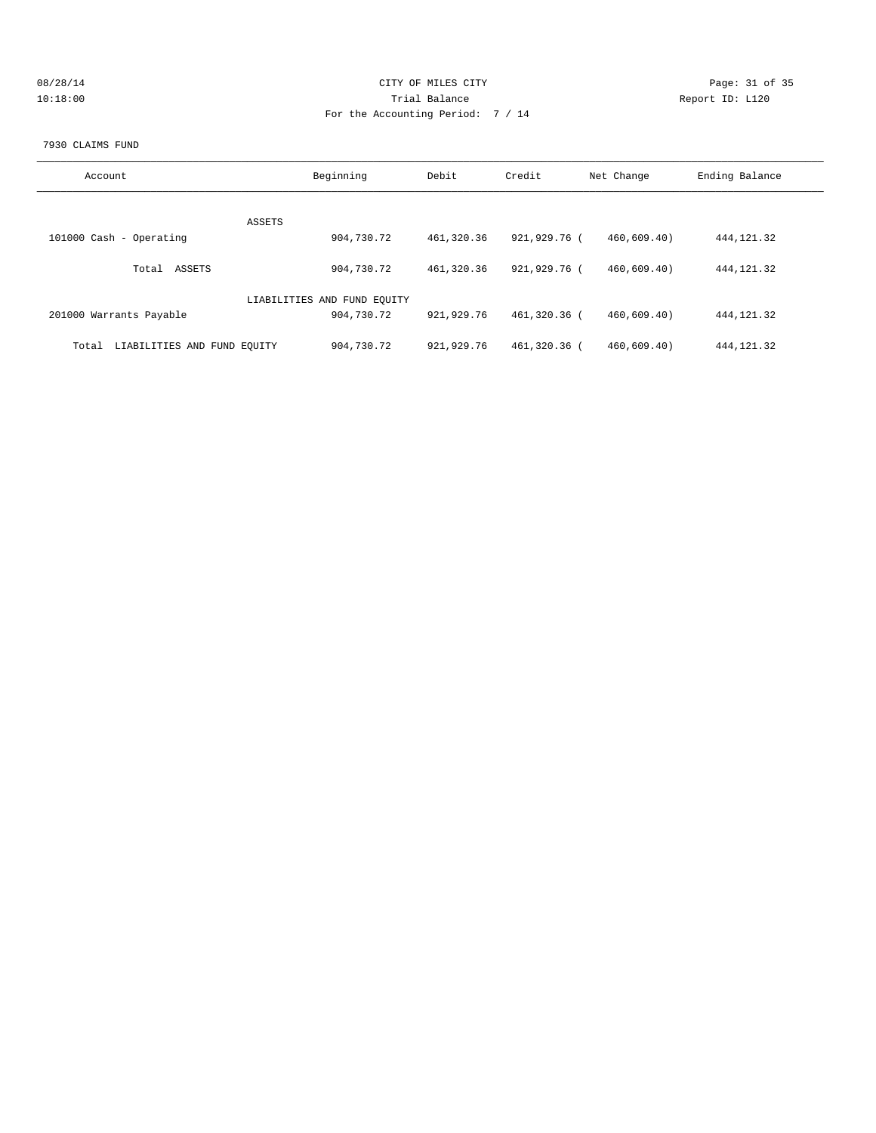| 08/28/14 | CITY OF MILES CITY                | Page: 31 of 35  |
|----------|-----------------------------------|-----------------|
| 10:18:00 | Trial Balance                     | Report ID: L120 |
|          | For the Accounting Period: 7 / 14 |                 |
|          |                                   |                 |

#### 7930 CLAIMS FUND

| Account                              | Beginning                   | Debit      | Credit       | Net Change | Ending Balance |
|--------------------------------------|-----------------------------|------------|--------------|------------|----------------|
|                                      |                             |            |              |            |                |
|                                      | ASSETS                      |            |              |            |                |
| 101000 Cash - Operating              | 904,730.72                  | 461,320.36 | 921,929.76 ( | 460.609.40 | 444, 121.32    |
|                                      |                             |            |              |            |                |
| ASSETS<br>Total                      | 904,730.72                  | 461,320.36 | 921,929.76 ( | 460.609.40 | 444, 121.32    |
|                                      |                             |            |              |            |                |
|                                      | LIABILITIES AND FUND EQUITY |            |              |            |                |
| 201000 Warrants Payable              | 904,730.72                  | 921,929.76 | 461,320.36 ( | 460.609.40 | 444, 121.32    |
|                                      |                             |            |              |            |                |
| LIABILITIES AND FUND EQUITY<br>Total | 904,730.72                  | 921,929.76 | 461,320.36 ( | 460.609.40 | 444, 121.32    |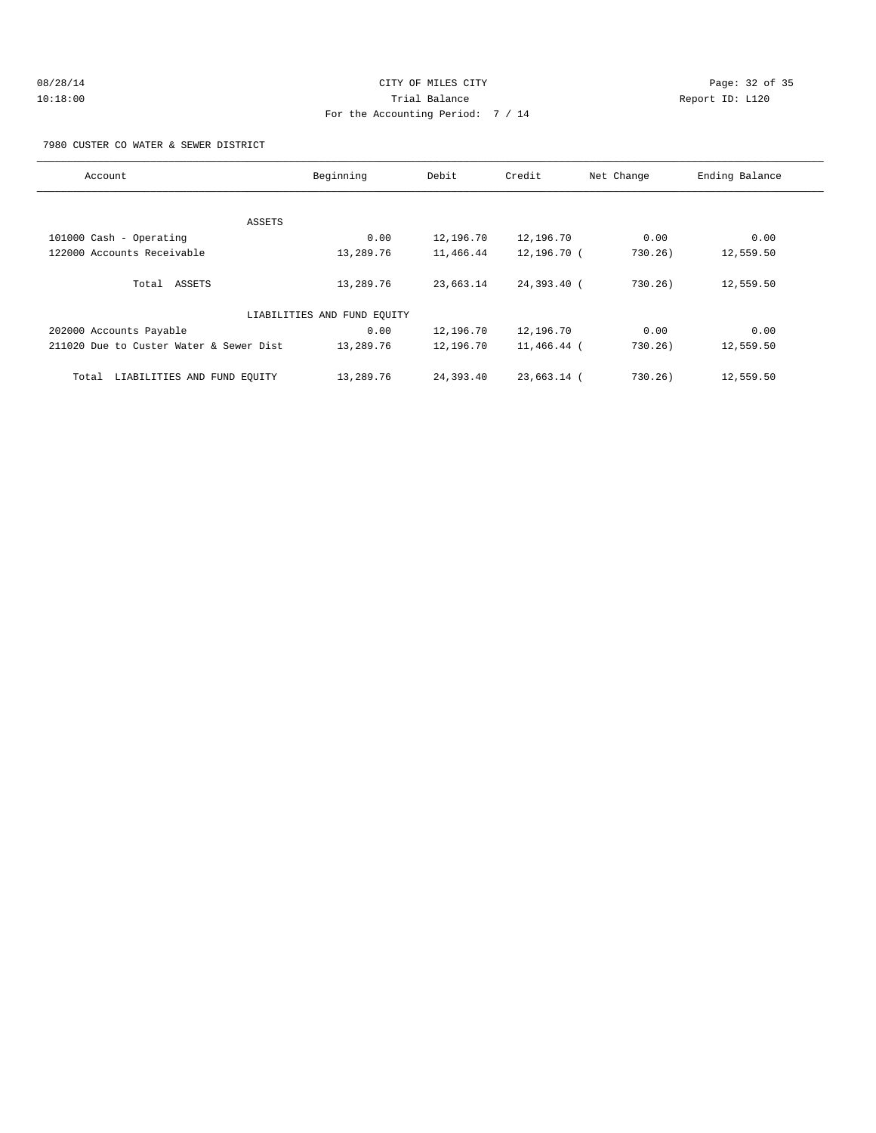7980 CUSTER CO WATER & SEWER DISTRICT

| Account                                 | Beginning                   | Debit     | Credit      | Net Change | Ending Balance |
|-----------------------------------------|-----------------------------|-----------|-------------|------------|----------------|
|                                         |                             |           |             |            |                |
|                                         | ASSETS                      |           |             |            |                |
| 101000 Cash - Operating                 | 0.00                        | 12,196.70 | 12,196.70   | 0.00       | 0.00           |
| 122000 Accounts Receivable              | 13,289.76                   | 11,466.44 | 12,196.70 ( | 730.26)    | 12,559.50      |
| Total ASSETS                            | 13,289.76                   | 23,663.14 | 24,393.40 ( | 730.26)    | 12,559.50      |
|                                         | LIABILITIES AND FUND EQUITY |           |             |            |                |
| 202000 Accounts Payable                 | 0.00                        | 12,196.70 | 12,196.70   | 0.00       | 0.00           |
| 211020 Due to Custer Water & Sewer Dist | 13,289.76                   | 12,196.70 | 11,466.44 ( | 730.26)    | 12,559.50      |
| LIABILITIES AND FUND EQUITY<br>Total    | 13,289.76                   | 24,393.40 | 23,663.14 ( | 730.26)    | 12,559.50      |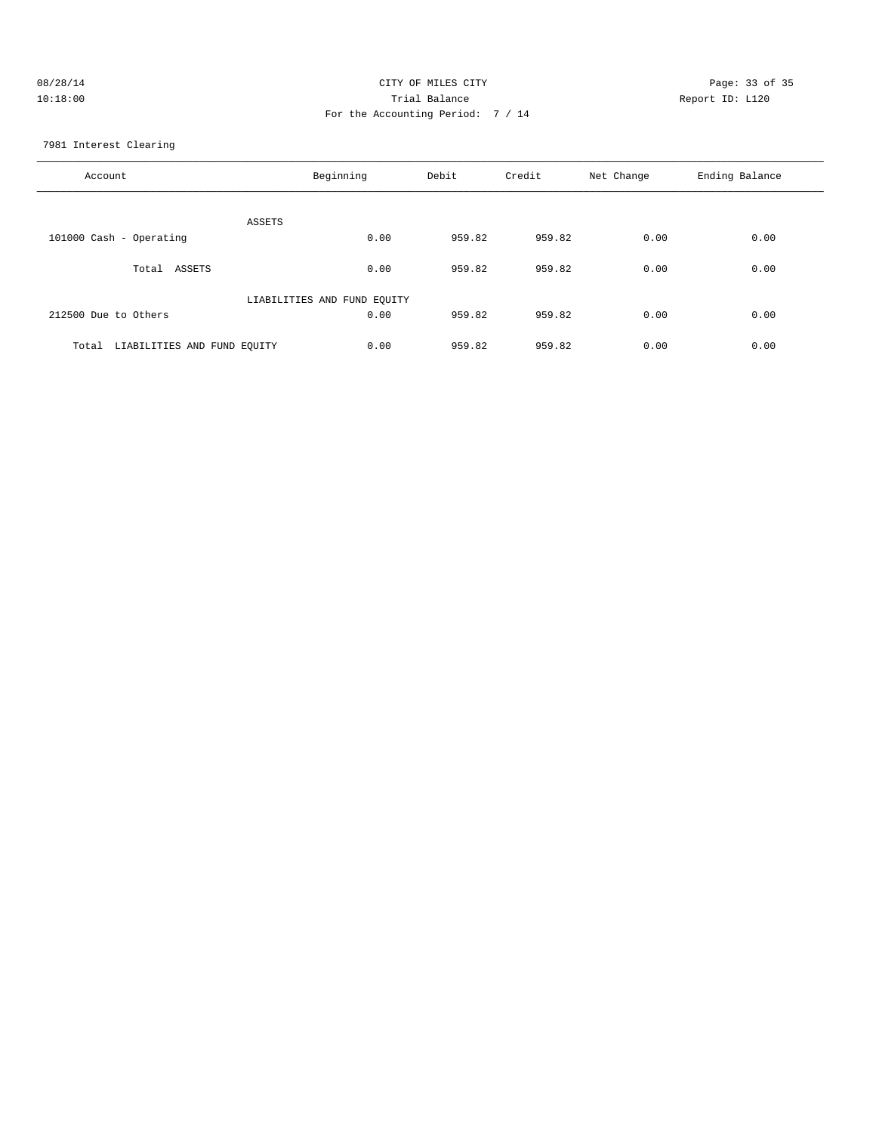| 08/28/14 | CITY OF MILES CITY                | Page: 33 of 35  |
|----------|-----------------------------------|-----------------|
| 10:18:00 | Trial Balance                     | Report ID: L120 |
|          | For the Accounting Period: 7 / 14 |                 |

7981 Interest Clearing

| Account                              | Beginning                   | Debit  | Credit | Net Change | Ending Balance |
|--------------------------------------|-----------------------------|--------|--------|------------|----------------|
| ASSETS                               |                             |        |        |            |                |
| 101000 Cash - Operating              | 0.00                        | 959.82 | 959.82 | 0.00       | 0.00           |
| Total<br>ASSETS                      | 0.00                        | 959.82 | 959.82 | 0.00       | 0.00           |
|                                      | LIABILITIES AND FUND EQUITY |        |        |            |                |
| 212500 Due to Others                 | 0.00                        | 959.82 | 959.82 | 0.00       | 0.00           |
| LIABILITIES AND FUND EQUITY<br>Total | 0.00                        | 959.82 | 959.82 | 0.00       | 0.00           |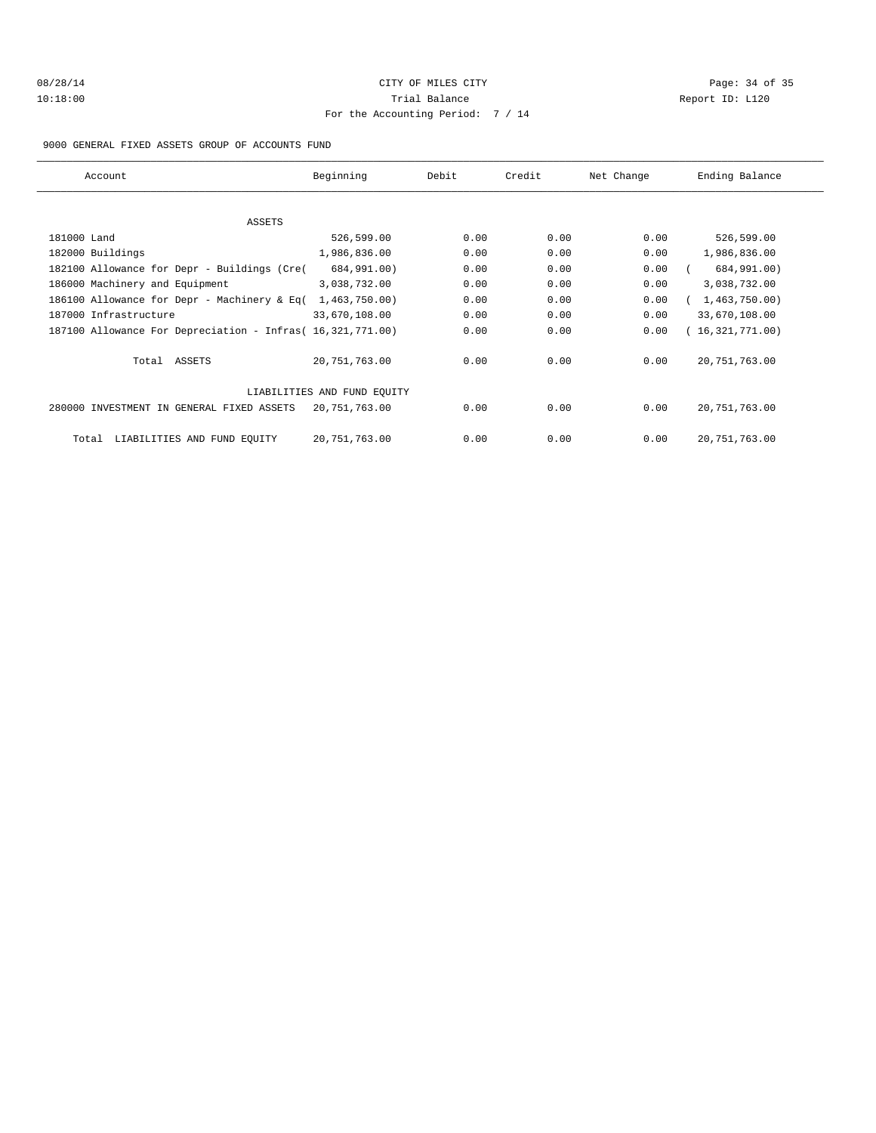## 08/28/14 Page: 34 of 35 10:18:00 Trial Balance Report ID: L120 For the Accounting Period: 7 / 14

#### 9000 GENERAL FIXED ASSETS GROUP OF ACCOUNTS FUND

| Account                                                    | Beginning                   | Debit | Credit | Net Change | Ending Balance  |
|------------------------------------------------------------|-----------------------------|-------|--------|------------|-----------------|
|                                                            |                             |       |        |            |                 |
| ASSETS                                                     |                             |       |        |            |                 |
| 181000 Land                                                | 526,599.00                  | 0.00  | 0.00   | 0.00       | 526,599.00      |
| 182000 Buildings                                           | 1,986,836.00                | 0.00  | 0.00   | 0.00       | 1,986,836.00    |
| 182100 Allowance for Depr - Buildings (Cre(                | 684,991.00)                 | 0.00  | 0.00   | 0.00       | 684,991.00)     |
| 186000 Machinery and Equipment                             | 3,038,732.00                | 0.00  | 0.00   | 0.00       | 3,038,732.00    |
| 186100 Allowance for Depr - Machinery & Eq(                | 1,463,750.00)               | 0.00  | 0.00   | 0.00       | 1,463,750.00)   |
| 187000 Infrastructure                                      | 33,670,108.00               | 0.00  | 0.00   | 0.00       | 33,670,108.00   |
| 187100 Allowance For Depreciation - Infras( 16,321,771.00) |                             | 0.00  | 0.00   | 0.00       | (16,321,771.00) |
| Total ASSETS                                               | 20,751,763.00               | 0.00  | 0.00   | 0.00       | 20, 751, 763.00 |
|                                                            | LIABILITIES AND FUND EQUITY |       |        |            |                 |
| 280000 INVESTMENT IN GENERAL FIXED ASSETS                  | 20,751,763.00               | 0.00  | 0.00   | 0.00       | 20,751,763.00   |
| LIABILITIES AND FUND EQUITY<br>Total                       | 20,751,763.00               | 0.00  | 0.00   | 0.00       | 20, 751, 763.00 |